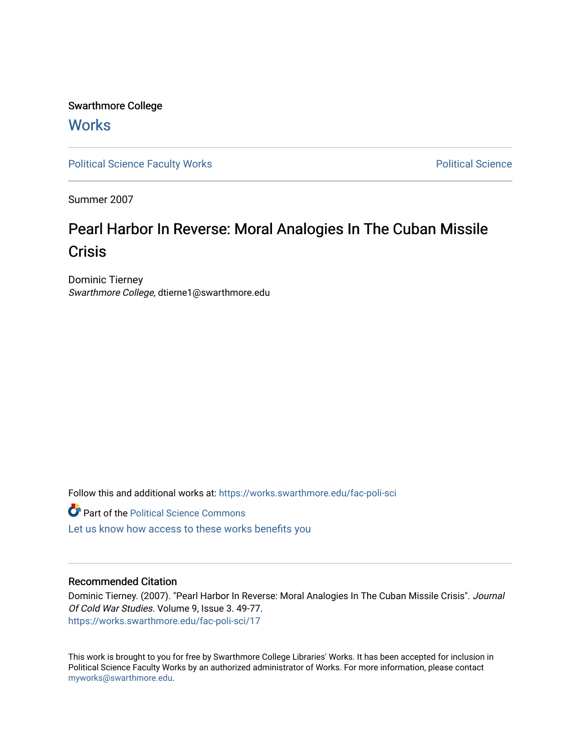Swarthmore College **Works** 

[Political Science Faculty Works](https://works.swarthmore.edu/fac-poli-sci) **Political Science** Political Science

Summer 2007

# Pearl Harbor In Reverse: Moral Analogies In The Cuban Missile **Crisis**

Dominic Tierney Swarthmore College, dtierne1@swarthmore.edu

Follow this and additional works at: [https://works.swarthmore.edu/fac-poli-sci](https://works.swarthmore.edu/fac-poli-sci?utm_source=works.swarthmore.edu%2Ffac-poli-sci%2F17&utm_medium=PDF&utm_campaign=PDFCoverPages)

**Part of the Political Science Commons** 

[Let us know how access to these works benefits you](https://forms.gle/4MB8mE2GywC5965J8) 

## Recommended Citation

Dominic Tierney. (2007). "Pearl Harbor In Reverse: Moral Analogies In The Cuban Missile Crisis". Journal Of Cold War Studies. Volume 9, Issue 3. 49-77. <https://works.swarthmore.edu/fac-poli-sci/17>

This work is brought to you for free by Swarthmore College Libraries' Works. It has been accepted for inclusion in Political Science Faculty Works by an authorized administrator of Works. For more information, please contact [myworks@swarthmore.edu.](mailto:myworks@swarthmore.edu)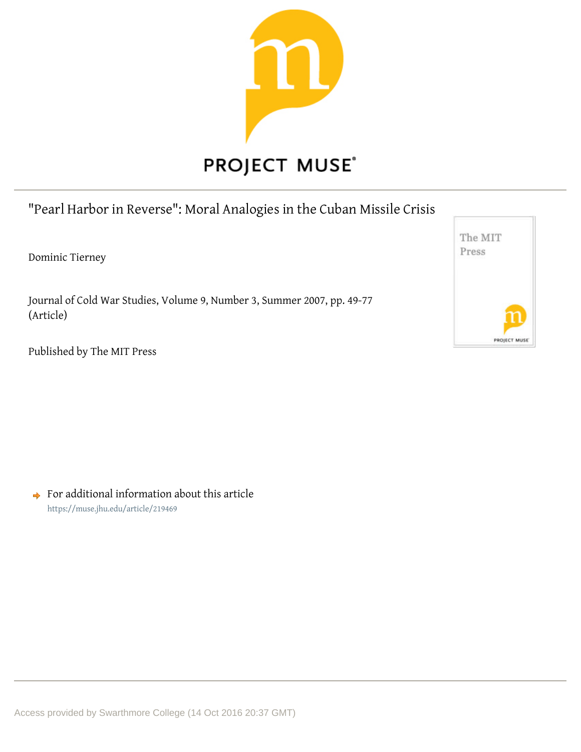

# "Pearl Harbor in Reverse": Moral Analogies in the Cuban Missile Crisis

Dominic Tierney

Journal of Cold War Studies, Volume 9, Number 3, Summer 2007, pp. 49-77 (Article)



Published by The MIT Press

 $\rightarrow$  For additional information about this article https://muse.jhu.edu/article/219469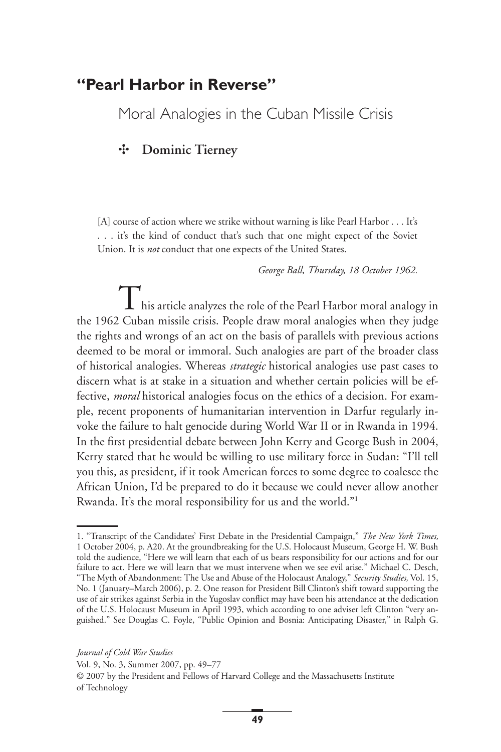# **"Pearl Harbor in Reverse"**

Moral Analogies in the Cuban Missile Crisis

# ✣ **Dominic Tierney**

[A] course of action where we strike without warning is like Pearl Harbor . . . It's . . . it's the kind of conduct that's such that one might expect of the Soviet Union. It is *not* conduct that one expects of the United States.

*George Ball, Thursday, 18 October 1962.*

This article analyzes the role of the Pearl Harbor moral analogy in the 1962 Cuban missile crisis. People draw moral analogies when they judge the rights and wrongs of an act on the basis of parallels with previous actions deemed to be moral or immoral. Such analogies are part of the broader class of historical analogies. Whereas *strategic* historical analogies use past cases to discern what is at stake in a situation and whether certain policies will be effective, *moral* historical analogies focus on the ethics of a decision. For example, recent proponents of humanitarian intervention in Darfur regularly invoke the failure to halt genocide during World War II or in Rwanda in 1994. In the first presidential debate between John Kerry and George Bush in 2004, Kerry stated that he would be willing to use military force in Sudan: "I'll tell you this, as president, if it took American forces to some degree to coalesce the African Union, I'd be prepared to do it because we could never allow another Rwanda. It's the moral responsibility for us and the world."<sup>1</sup>

<sup>1. &</sup>quot;Transcript of the Candidates' First Debate in the Presidential Campaign," *The New York Times,* 1 October 2004, p. A20. At the groundbreaking for the U.S. Holocaust Museum, George H. W. Bush told the audience, "Here we will learn that each of us bears responsibility for our actions and for our failure to act. Here we will learn that we must intervene when we see evil arise." Michael C. Desch, "The Myth of Abandonment: The Use and Abuse of the Holocaust Analogy," *Security Studies,* Vol. 15, No. 1 (January–March 2006), p. 2. One reason for President Bill Clinton's shift toward supporting the use of air strikes against Serbia in the Yugoslav conflict may have been his attendance at the dedication of the U.S. Holocaust Museum in April 1993, which according to one adviser left Clinton "very anguished." See Douglas C. Foyle, "Public Opinion and Bosnia: Anticipating Disaster," in Ralph G.

*Journal of Cold War Studies*

Vol. 9, No. 3, Summer 2007, pp. 49–77

<sup>© 2007</sup> by the President and Fellows of Harvard College and the Massachusetts Institute of Technology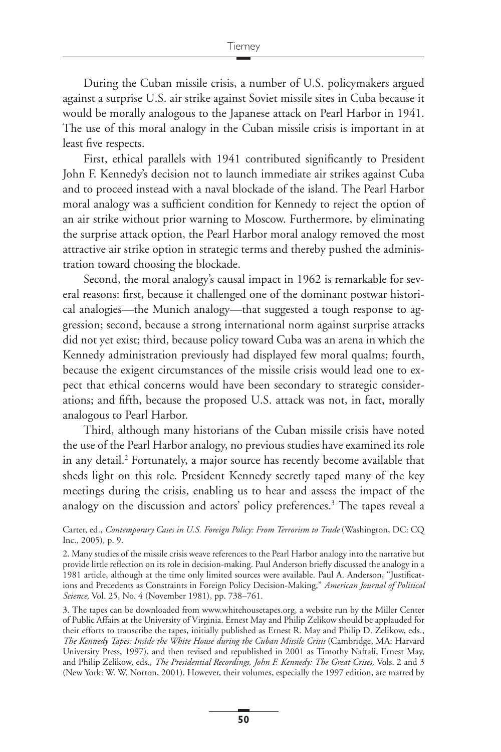During the Cuban missile crisis, a number of U.S. policymakers argued against a surprise U.S. air strike against Soviet missile sites in Cuba because it would be morally analogous to the Japanese attack on Pearl Harbor in 1941. The use of this moral analogy in the Cuban missile crisis is important in at least five respects.

First, ethical parallels with 1941 contributed significantly to President John F. Kennedy's decision not to launch immediate air strikes against Cuba and to proceed instead with a naval blockade of the island. The Pearl Harbor moral analogy was a sufficient condition for Kennedy to reject the option of an air strike without prior warning to Moscow. Furthermore, by eliminating the surprise attack option, the Pearl Harbor moral analogy removed the most attractive air strike option in strategic terms and thereby pushed the administration toward choosing the blockade.

Second, the moral analogy's causal impact in 1962 is remarkable for several reasons: first, because it challenged one of the dominant postwar historical analogies—the Munich analogy—that suggested a tough response to aggression; second, because a strong international norm against surprise attacks did not yet exist; third, because policy toward Cuba was an arena in which the Kennedy administration previously had displayed few moral qualms; fourth, because the exigent circumstances of the missile crisis would lead one to expect that ethical concerns would have been secondary to strategic considerations; and fifth, because the proposed U.S. attack was not, in fact, morally analogous to Pearl Harbor.

Third, although many historians of the Cuban missile crisis have noted the use of the Pearl Harbor analogy, no previous studies have examined its role in any detail.2 Fortunately, a major source has recently become available that sheds light on this role. President Kennedy secretly taped many of the key meetings during the crisis, enabling us to hear and assess the impact of the analogy on the discussion and actors' policy preferences.3 The tapes reveal a

Carter, ed., *Contemporary Cases in U.S. Foreign Policy: From Terrorism to Trade* (Washington, DC: CQ Inc., 2005), p. 9.

2. Many studies of the missile crisis weave references to the Pearl Harbor analogy into the narrative but provide little reflection on its role in decision-making. Paul Anderson briefly discussed the analogy in a 1981 article, although at the time only limited sources were available. Paul A. Anderson, "Justifications and Precedents as Constraints in Foreign Policy Decision-Making," *American Journal of Political Science,* Vol. 25, No. 4 (November 1981), pp. 738–761.

3. The tapes can be downloaded from www.whitehousetapes.org, a website run by the Miller Center of Public Affairs at the University of Virginia. Ernest May and Philip Zelikow should be applauded for their efforts to transcribe the tapes, initially published as Ernest R. May and Philip D. Zelikow, eds., *The Kennedy Tapes: Inside the White House during the Cuban Missile Crisis* (Cambridge, MA: Harvard University Press, 1997), and then revised and republished in 2001 as Timothy Naftali, Ernest May, and Philip Zelikow, eds., *The Presidential Recordings, John F. Kennedy: The Great Crises,* Vols. 2 and 3 (New York: W. W. Norton, 2001). However, their volumes, especially the 1997 edition, are marred by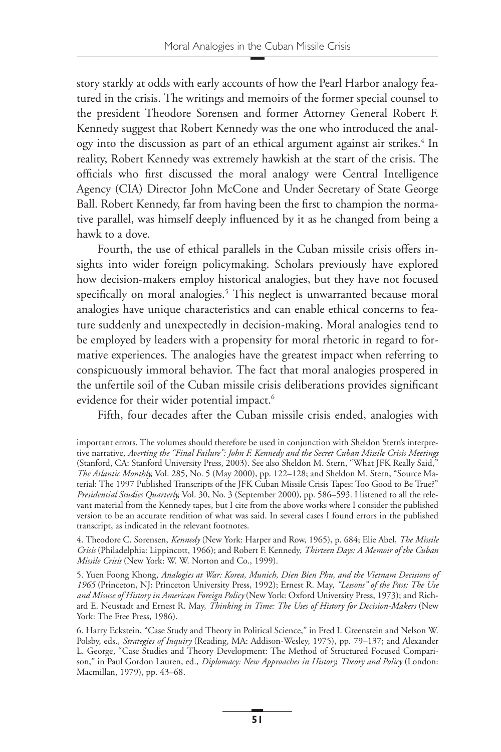story starkly at odds with early accounts of how the Pearl Harbor analogy featured in the crisis. The writings and memoirs of the former special counsel to the president Theodore Sorensen and former Attorney General Robert F. Kennedy suggest that Robert Kennedy was the one who introduced the analogy into the discussion as part of an ethical argument against air strikes.<sup>4</sup> In reality, Robert Kennedy was extremely hawkish at the start of the crisis. The officials who first discussed the moral analogy were Central Intelligence Agency (CIA) Director John McCone and Under Secretary of State George Ball. Robert Kennedy, far from having been the first to champion the normative parallel, was himself deeply influenced by it as he changed from being a hawk to a dove.

Fourth, the use of ethical parallels in the Cuban missile crisis offers insights into wider foreign policymaking. Scholars previously have explored how decision-makers employ historical analogies, but they have not focused specifically on moral analogies.<sup>5</sup> This neglect is unwarranted because moral analogies have unique characteristics and can enable ethical concerns to feature suddenly and unexpectedly in decision-making. Moral analogies tend to be employed by leaders with a propensity for moral rhetoric in regard to formative experiences. The analogies have the greatest impact when referring to conspicuously immoral behavior. The fact that moral analogies prospered in the unfertile soil of the Cuban missile crisis deliberations provides significant evidence for their wider potential impact.<sup>6</sup>

Fifth, four decades after the Cuban missile crisis ended, analogies with

4. Theodore C. Sorensen, *Kennedy* (New York: Harper and Row, 1965), p. 684; Elie Abel, *The Missile Crisis* (Philadelphia: Lippincott, 1966); and Robert F. Kennedy, *Thirteen Days: A Memoir of the Cuban Missile Crisis* (New York: W. W. Norton and Co., 1999).

5. Yuen Foong Khong, *Analogies at War: Korea, Munich, Dien Bien Phu, and the Vietnam Decisions of 1965* (Princeton, NJ: Princeton University Press, 1992); Ernest R. May, *"Lessons" of the Past: The Use and Misuse of History in American Foreign Policy* (New York: Oxford University Press, 1973); and Richard E. Neustadt and Ernest R. May, *Thinking in Time: The Uses of History for Decision-Makers* (New York: The Free Press, 1986).

6. Harry Eckstein, "Case Study and Theory in Political Science," in Fred I. Greenstein and Nelson W. Polsby, eds., *Strategies of Inquiry* (Reading, MA: Addison-Wesley, 1975), pp. 79–137; and Alexander L. George, "Case Studies and Theory Development: The Method of Structured Focused Comparison," in Paul Gordon Lauren, ed., *Diplomacy: New Approaches in History, Theory and Policy* (London: Macmillan, 1979), pp. 43–68.

important errors. The volumes should therefore be used in conjunction with Sheldon Stern's interpretive narrative, *Averting the "Final Failure": John F. Kennedy and the Secret Cuban Missile Crisis Meetings* (Stanford, CA: Stanford University Press, 2003). See also Sheldon M. Stern, "What JFK Really Said," *The Atlantic Monthly,* Vol. 285, No. 5 (May 2000), pp. 122–128; and Sheldon M. Stern, "Source Material: The 1997 Published Transcripts of the JFK Cuban Missile Crisis Tapes: Too Good to Be True?" *Presidential Studies Quarterly,* Vol. 30, No. 3 (September 2000), pp. 586–593. I listened to all the relevant material from the Kennedy tapes, but I cite from the above works where I consider the published version to be an accurate rendition of what was said. In several cases I found errors in the published transcript, as indicated in the relevant footnotes.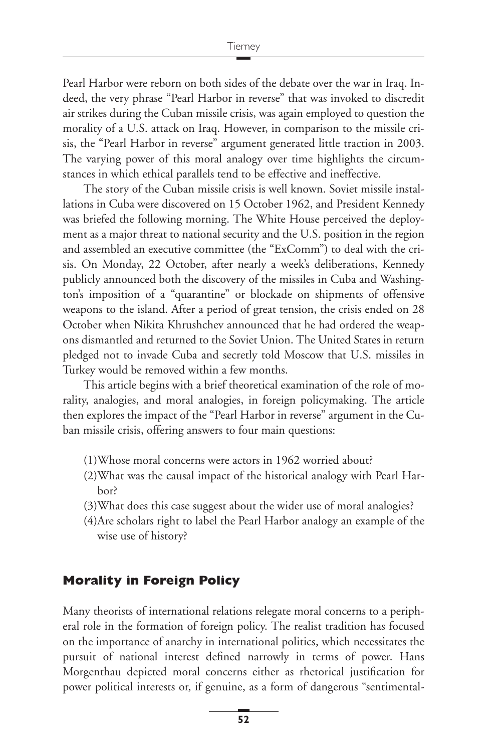Pearl Harbor were reborn on both sides of the debate over the war in Iraq. Indeed, the very phrase "Pearl Harbor in reverse" that was invoked to discredit air strikes during the Cuban missile crisis, was again employed to question the morality of a U.S. attack on Iraq. However, in comparison to the missile crisis, the "Pearl Harbor in reverse" argument generated little traction in 2003. The varying power of this moral analogy over time highlights the circumstances in which ethical parallels tend to be effective and ineffective.

The story of the Cuban missile crisis is well known. Soviet missile installations in Cuba were discovered on 15 October 1962, and President Kennedy was briefed the following morning. The White House perceived the deployment as a major threat to national security and the U.S. position in the region and assembled an executive committee (the "ExComm") to deal with the crisis. On Monday, 22 October, after nearly a week's deliberations, Kennedy publicly announced both the discovery of the missiles in Cuba and Washington's imposition of a "quarantine" or blockade on shipments of offensive weapons to the island. After a period of great tension, the crisis ended on 28 October when Nikita Khrushchev announced that he had ordered the weapons dismantled and returned to the Soviet Union. The United States in return pledged not to invade Cuba and secretly told Moscow that U.S. missiles in Turkey would be removed within a few months.

This article begins with a brief theoretical examination of the role of morality, analogies, and moral analogies, in foreign policymaking. The article then explores the impact of the "Pearl Harbor in reverse" argument in the Cuban missile crisis, offering answers to four main questions:

- (1)Whose moral concerns were actors in 1962 worried about?
- (2)What was the causal impact of the historical analogy with Pearl Harbor?
- (3)What does this case suggest about the wider use of moral analogies?
- (4)Are scholars right to label the Pearl Harbor analogy an example of the wise use of history?

## **Morality in Foreign Policy**

Many theorists of international relations relegate moral concerns to a peripheral role in the formation of foreign policy. The realist tradition has focused on the importance of anarchy in international politics, which necessitates the pursuit of national interest defined narrowly in terms of power. Hans Morgenthau depicted moral concerns either as rhetorical justification for power political interests or, if genuine, as a form of dangerous "sentimental-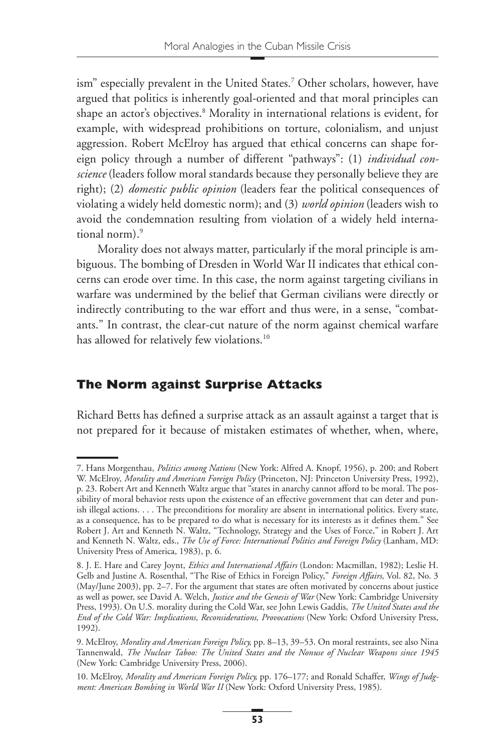ism" especially prevalent in the United States.7 Other scholars, however, have argued that politics is inherently goal-oriented and that moral principles can shape an actor's objectives.<sup>8</sup> Morality in international relations is evident, for example, with widespread prohibitions on torture, colonialism, and unjust aggression. Robert McElroy has argued that ethical concerns can shape foreign policy through a number of different "pathways": (1) *individual conscience* (leaders follow moral standards because they personally believe they are right); (2) *domestic public opinion* (leaders fear the political consequences of violating a widely held domestic norm); and (3) *world opinion* (leaders wish to avoid the condemnation resulting from violation of a widely held international norm).<sup>9</sup>

Morality does not always matter, particularly if the moral principle is ambiguous. The bombing of Dresden in World War II indicates that ethical concerns can erode over time. In this case, the norm against targeting civilians in warfare was undermined by the belief that German civilians were directly or indirectly contributing to the war effort and thus were, in a sense, "combatants." In contrast, the clear-cut nature of the norm against chemical warfare has allowed for relatively few violations.<sup>10</sup>

# **The Norm against Surprise Attacks**

Richard Betts has defined a surprise attack as an assault against a target that is not prepared for it because of mistaken estimates of whether, when, where,

<sup>7.</sup> Hans Morgenthau, *Politics among Nations* (New York: Alfred A. Knopf, 1956), p. 200; and Robert W. McElroy, *Morality and American Foreign Policy* (Princeton, NJ: Princeton University Press, 1992), p. 23. Robert Art and Kenneth Waltz argue that "states in anarchy cannot afford to be moral. The possibility of moral behavior rests upon the existence of an effective government that can deter and punish illegal actions. . . . The preconditions for morality are absent in international politics. Every state, as a consequence, has to be prepared to do what is necessary for its interests as it defines them." See Robert J. Art and Kenneth N. Waltz, "Technology, Strategy and the Uses of Force," in Robert J. Art and Kenneth N. Waltz, eds., *The Use of Force: International Politics and Foreign Policy* (Lanham, MD: University Press of America, 1983), p. 6.

<sup>8.</sup> J. E. Hare and Carey Joynt, *Ethics and International Affairs* (London: Macmillan, 1982); Leslie H. Gelb and Justine A. Rosenthal, "The Rise of Ethics in Foreign Policy," *Foreign Affairs,* Vol. 82, No. 3 (May/June 2003), pp. 2–7. For the argument that states are often motivated by concerns about justice as well as power, see David A. Welch, *Justice and the Genesis of War* (New York: Cambridge University Press, 1993). On U.S. morality during the Cold War, see John Lewis Gaddis, *The United States and the End of the Cold War: Implications, Reconsiderations, Provocations* (New York: Oxford University Press, 1992).

<sup>9.</sup> McElroy, *Morality and American Foreign Policy,* pp. 8–13, 39–53. On moral restraints, see also Nina Tannenwald, *The Nuclear Taboo: The United States and the Nonuse of Nuclear Weapons since 1945* (New York: Cambridge University Press, 2006).

<sup>10.</sup> McElroy, *Morality and American Foreign Policy,* pp. 176–177; and Ronald Schaffer, *Wings of Judgment: American Bombing in World War II* (New York: Oxford University Press, 1985).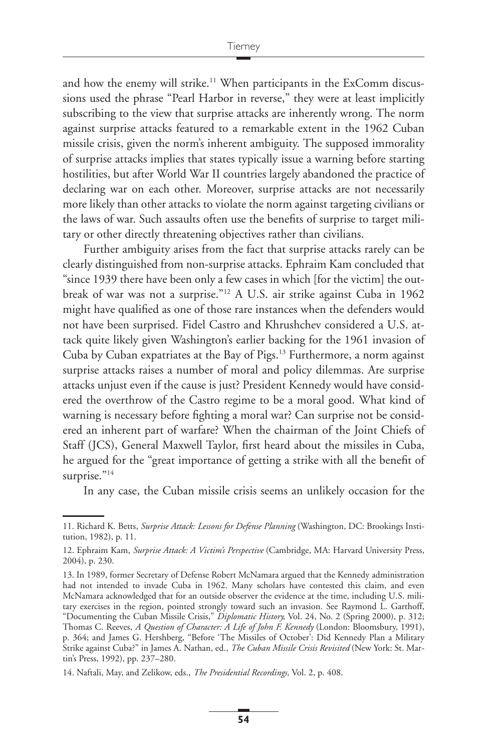and how the enemy will strike.<sup>11</sup> When participants in the ExComm discussions used the phrase "Pearl Harbor in reverse," they were at least implicitly subscribing to the view that surprise attacks are inherently wrong. The norm against surprise attacks featured to a remarkable extent in the 1962 Cuban missile crisis, given the norm's inherent ambiguity. The supposed immorality of surprise attacks implies that states typically issue a warning before starting hostilities, but after World War II countries largely abandoned the practice of declaring war on each other. Moreover, surprise attacks are not necessarily more likely than other attacks to violate the norm against targeting civilians or the laws of war. Such assaults often use the benefits of surprise to target military or other directly threatening objectives rather than civilians.

Further ambiguity arises from the fact that surprise attacks rarely can be clearly distinguished from non-surprise attacks. Ephraim Kam concluded that "since 1939 there have been only a few cases in which [for the victim] the outbreak of war was not a surprise."12 A U.S. air strike against Cuba in 1962 might have qualified as one of those rare instances when the defenders would not have been surprised. Fidel Castro and Khrushchev considered a U.S. attack quite likely given Washington's earlier backing for the 1961 invasion of Cuba by Cuban expatriates at the Bay of Pigs.13 Furthermore, a norm against surprise attacks raises a number of moral and policy dilemmas. Are surprise attacks unjust even if the cause is just? President Kennedy would have considered the overthrow of the Castro regime to be a moral good. What kind of warning is necessary before fighting a moral war? Can surprise not be considered an inherent part of warfare? When the chairman of the Joint Chiefs of Staff (JCS), General Maxwell Taylor, first heard about the missiles in Cuba, he argued for the "great importance of getting a strike with all the benefit of surprise."<sup>14</sup>

In any case, the Cuban missile crisis seems an unlikely occasion for the

<sup>11.</sup> Richard K. Betts, *Surprise Attack: Lessons for Defense Planning* (Washington, DC: Brookings Institution, 1982), p. 11.

<sup>12.</sup> Ephraim Kam, *Surprise Attack: A Victim's Perspective* (Cambridge, MA: Harvard University Press, 2004), p. 230.

<sup>13.</sup> In 1989, former Secretary of Defense Robert McNamara argued that the Kennedy administration had not intended to invade Cuba in 1962. Many scholars have contested this claim, and even McNamara acknowledged that for an outside observer the evidence at the time, including U.S. military exercises in the region, pointed strongly toward such an invasion. See Raymond L. Garthoff, "Documenting the Cuban Missile Crisis," *Diplomatic History,* Vol. 24, No. 2 (Spring 2000), p. 312; Thomas C. Reeves, *A Question of Character: A Life of John F. Kennedy* (London: Bloomsbury, 1991), p. 364; and James G. Hershberg, "Before 'The Missiles of October': Did Kennedy Plan a Military Strike against Cuba?" in James A. Nathan, ed., *The Cuban Missile Crisis Revisited* (New York: St. Martin's Press, 1992), pp. 237–280.

<sup>14.</sup> Naftali, May, and Zelikow, eds., *The Presidential Recordings,* Vol. 2, p. 408.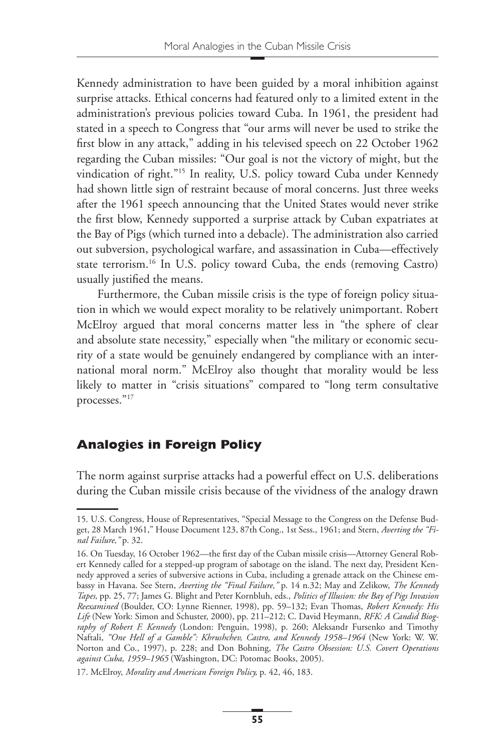Kennedy administration to have been guided by a moral inhibition against surprise attacks. Ethical concerns had featured only to a limited extent in the administration's previous policies toward Cuba. In 1961, the president had stated in a speech to Congress that "our arms will never be used to strike the first blow in any attack," adding in his televised speech on 22 October 1962 regarding the Cuban missiles: "Our goal is not the victory of might, but the vindication of right."15 In reality, U.S. policy toward Cuba under Kennedy had shown little sign of restraint because of moral concerns. Just three weeks after the 1961 speech announcing that the United States would never strike the first blow, Kennedy supported a surprise attack by Cuban expatriates at the Bay of Pigs (which turned into a debacle). The administration also carried out subversion, psychological warfare, and assassination in Cuba—effectively state terrorism.<sup>16</sup> In U.S. policy toward Cuba, the ends (removing Castro) usually justified the means.

Furthermore, the Cuban missile crisis is the type of foreign policy situation in which we would expect morality to be relatively unimportant. Robert McElroy argued that moral concerns matter less in "the sphere of clear and absolute state necessity," especially when "the military or economic security of a state would be genuinely endangered by compliance with an international moral norm." McElroy also thought that morality would be less likely to matter in "crisis situations" compared to "long term consultative processes."17

# **Analogies in Foreign Policy**

The norm against surprise attacks had a powerful effect on U.S. deliberations during the Cuban missile crisis because of the vividness of the analogy drawn

<sup>15.</sup> U.S. Congress, House of Representatives, "Special Message to the Congress on the Defense Budget, 28 March 1961," House Document 123, 87th Cong., 1st Sess., 1961; and Stern, *Averting the "Final Failure,"* p. 32.

<sup>16.</sup> On Tuesday, 16 October 1962—the first day of the Cuban missile crisis—Attorney General Robert Kennedy called for a stepped-up program of sabotage on the island. The next day, President Kennedy approved a series of subversive actions in Cuba, including a grenade attack on the Chinese embassy in Havana. See Stern, *Averting the "Final Failure,"* p. 14 n.32; May and Zelikow, *The Kennedy Tapes,* pp. 25, 77; James G. Blight and Peter Kornbluh, eds., *Politics of Illusion: the Bay of Pigs Invasion Reexamined* (Boulder, CO: Lynne Rienner, 1998), pp. 59–132; Evan Thomas, *Robert Kennedy: His Life* (New York: Simon and Schuster, 2000), pp. 211–212; C. David Heymann, *RFK: A Candid Biography of Robert F. Kennedy* (London: Penguin, 1998), p. 260; Aleksandr Fursenko and Timothy Naftali, *"One Hell of a Gamble": Khrushchev, Castro, and Kennedy 1958–1964* (New York: W. W. Norton and Co., 1997), p. 228; and Don Bohning, *The Castro Obsession: U.S. Covert Operations against Cuba, 1959–1965* (Washington, DC: Potomac Books, 2005).

<sup>17.</sup> McElroy, *Morality and American Foreign Policy,* p. 42, 46, 183.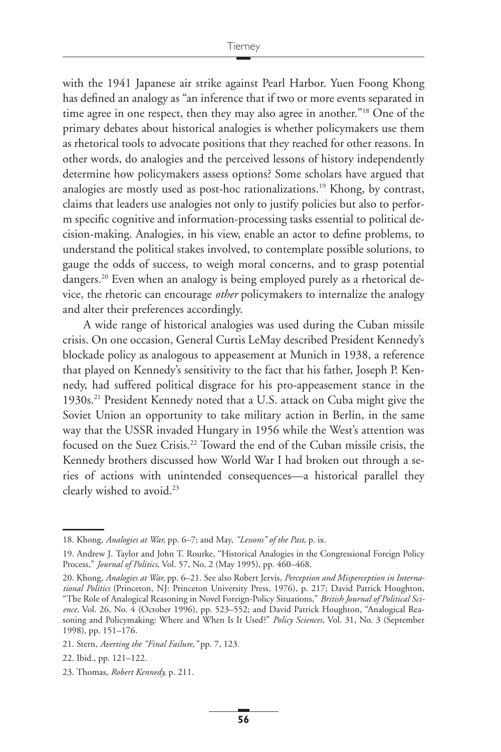with the 1941 Japanese air strike against Pearl Harbor. Yuen Foong Khong has defined an analogy as "an inference that if two or more events separated in time agree in one respect, then they may also agree in another."18 One of the primary debates about historical analogies is whether policymakers use them as rhetorical tools to advocate positions that they reached for other reasons. In other words, do analogies and the perceived lessons of history independently determine how policymakers assess options? Some scholars have argued that analogies are mostly used as post-hoc rationalizations.<sup>19</sup> Khong, by contrast, claims that leaders use analogies not only to justify policies but also to perform specific cognitive and information-processing tasks essential to political decision-making. Analogies, in his view, enable an actor to define problems, to understand the political stakes involved, to contemplate possible solutions, to gauge the odds of success, to weigh moral concerns, and to grasp potential dangers.<sup>20</sup> Even when an analogy is being employed purely as a rhetorical device, the rhetoric can encourage *other* policymakers to internalize the analogy and alter their preferences accordingly.

A wide range of historical analogies was used during the Cuban missile crisis. On one occasion, General Curtis LeMay described President Kennedy's blockade policy as analogous to appeasement at Munich in 1938, a reference that played on Kennedy's sensitivity to the fact that his father, Joseph P. Kennedy, had suffered political disgrace for his pro-appeasement stance in the 1930s.<sup>21</sup> President Kennedy noted that a U.S. attack on Cuba might give the Soviet Union an opportunity to take military action in Berlin, in the same way that the USSR invaded Hungary in 1956 while the West's attention was focused on the Suez Crisis.<sup>22</sup> Toward the end of the Cuban missile crisis, the Kennedy brothers discussed how World War I had broken out through a series of actions with unintended consequences—a historical parallel they clearly wished to avoid.<sup>23</sup>

<sup>18.</sup> Khong, *Analogies at War,* pp. 6–7; and May, *"Lessons" of the Past,* p. ix.

<sup>19.</sup> Andrew J. Taylor and John T. Rourke, "Historical Analogies in the Congressional Foreign Policy Process," *Journal of Politics,* Vol. 57, No. 2 (May 1995), pp. 460–468.

<sup>20.</sup> Khong, *Analogies at War,* pp. 6–21. See also Robert Jervis, *Perception and Misperception in International Politics* (Princeton, NJ: Princeton University Press, 1976), p. 217; David Patrick Houghton, "The Role of Analogical Reasoning in Novel Foreign-Policy Situations," *British Journal of Political Science,* Vol. 26, No. 4 (October 1996), pp. 523–552; and David Patrick Houghton, "Analogical Reasoning and Policymaking: Where and When Is It Used?" *Policy Sciences,* Vol. 31, No. 3 (September 1998), pp. 151–176.

<sup>21.</sup> Stern, *Averting the "Final Failure,"* pp. 7, 123.

<sup>22.</sup> Ibid., pp. 121–122.

<sup>23.</sup> Thomas, *Robert Kennedy,* p. 211.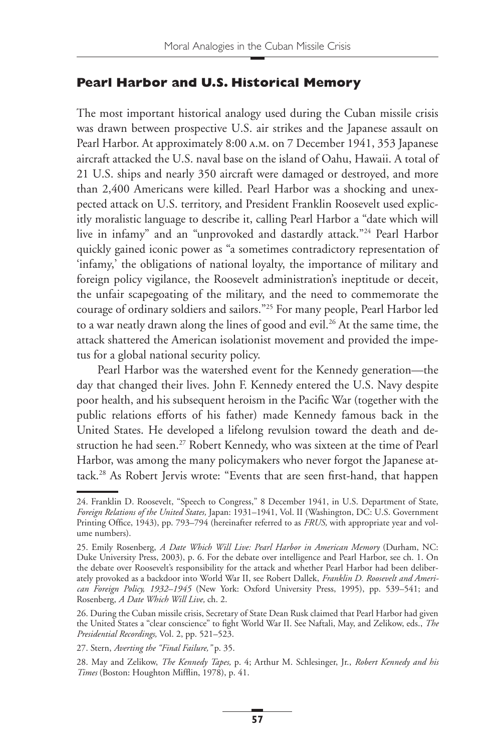#### **Pearl Harbor and U.S. Historical Memory**

The most important historical analogy used during the Cuban missile crisis was drawn between prospective U.S. air strikes and the Japanese assault on Pearl Harbor. At approximately 8:00 a.m. on 7 December 1941, 353 Japanese aircraft attacked the U.S. naval base on the island of Oahu, Hawaii. A total of 21 U.S. ships and nearly 350 aircraft were damaged or destroyed, and more than 2,400 Americans were killed. Pearl Harbor was a shocking and unexpected attack on U.S. territory, and President Franklin Roosevelt used explicitly moralistic language to describe it, calling Pearl Harbor a "date which will live in infamy" and an "unprovoked and dastardly attack."24 Pearl Harbor quickly gained iconic power as "a sometimes contradictory representation of 'infamy,' the obligations of national loyalty, the importance of military and foreign policy vigilance, the Roosevelt administration's ineptitude or deceit, the unfair scapegoating of the military, and the need to commemorate the courage of ordinary soldiers and sailors."25 For many people, Pearl Harbor led to a war neatly drawn along the lines of good and evil.<sup>26</sup> At the same time, the attack shattered the American isolationist movement and provided the impetus for a global national security policy.

Pearl Harbor was the watershed event for the Kennedy generation—the day that changed their lives. John F. Kennedy entered the U.S. Navy despite poor health, and his subsequent heroism in the Pacific War (together with the public relations efforts of his father) made Kennedy famous back in the United States. He developed a lifelong revulsion toward the death and destruction he had seen.<sup>27</sup> Robert Kennedy, who was sixteen at the time of Pearl Harbor, was among the many policymakers who never forgot the Japanese attack.<sup>28</sup> As Robert Jervis wrote: "Events that are seen first-hand, that happen

<sup>24.</sup> Franklin D. Roosevelt, "Speech to Congress," 8 December 1941, in U.S. Department of State, *Foreign Relations of the United States,* Japan: 1931–1941, Vol. II (Washington, DC: U.S. Government Printing Office, 1943), pp. 793–794 (hereinafter referred to as *FRUS*, with appropriate year and volume numbers).

<sup>25.</sup> Emily Rosenberg, *A Date Which Will Live: Pearl Harbor in American Memory* (Durham, NC: Duke University Press, 2003), p. 6. For the debate over intelligence and Pearl Harbor, see ch. 1. On the debate over Roosevelt's responsibility for the attack and whether Pearl Harbor had been deliberately provoked as a backdoor into World War II, see Robert Dallek, *Franklin D. Roosevelt and American Foreign Policy, 1932–1945* (New York: Oxford University Press, 1995), pp. 539–541; and Rosenberg, *A Date Which Will Live,* ch. 2.

<sup>26.</sup> During the Cuban missile crisis, Secretary of State Dean Rusk claimed that Pearl Harbor had given the United States a "clear conscience" to fight World War II. See Naftali, May, and Zelikow, eds., *The Presidential Recordings,* Vol. 2, pp. 521–523.

<sup>27.</sup> Stern, *Averting the "Final Failure,"* p. 35.

<sup>28.</sup> May and Zelikow, *The Kennedy Tapes,* p. 4; Arthur M. Schlesinger, Jr., *Robert Kennedy and his Times* (Boston: Houghton Mifflin, 1978), p. 41.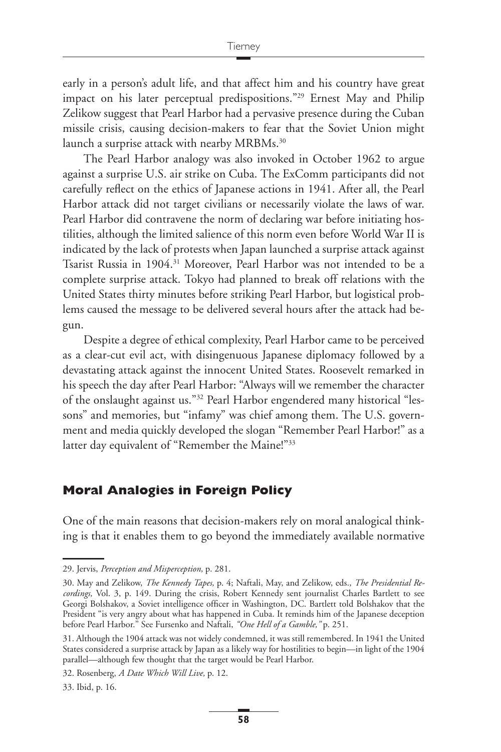early in a person's adult life, and that affect him and his country have great impact on his later perceptual predispositions."29 Ernest May and Philip Zelikow suggest that Pearl Harbor had a pervasive presence during the Cuban missile crisis, causing decision-makers to fear that the Soviet Union might launch a surprise attack with nearby MRBMs.<sup>30</sup>

The Pearl Harbor analogy was also invoked in October 1962 to argue against a surprise U.S. air strike on Cuba. The ExComm participants did not carefully reflect on the ethics of Japanese actions in 1941. After all, the Pearl Harbor attack did not target civilians or necessarily violate the laws of war. Pearl Harbor did contravene the norm of declaring war before initiating hostilities, although the limited salience of this norm even before World War II is indicated by the lack of protests when Japan launched a surprise attack against Tsarist Russia in 1904.<sup>31</sup> Moreover, Pearl Harbor was not intended to be a complete surprise attack. Tokyo had planned to break off relations with the United States thirty minutes before striking Pearl Harbor, but logistical problems caused the message to be delivered several hours after the attack had begun.

Despite a degree of ethical complexity, Pearl Harbor came to be perceived as a clear-cut evil act, with disingenuous Japanese diplomacy followed by a devastating attack against the innocent United States. Roosevelt remarked in his speech the day after Pearl Harbor: "Always will we remember the character of the onslaught against us."32 Pearl Harbor engendered many historical "lessons" and memories, but "infamy" was chief among them. The U.S. government and media quickly developed the slogan "Remember Pearl Harbor!" as a latter day equivalent of "Remember the Maine!"<sup>33</sup>

## **Moral Analogies in Foreign Policy**

One of the main reasons that decision-makers rely on moral analogical thinking is that it enables them to go beyond the immediately available normative

<sup>29.</sup> Jervis, *Perception and Misperception,* p. 281.

<sup>30.</sup> May and Zelikow, *The Kennedy Tapes,* p. 4; Naftali, May, and Zelikow, eds., *The Presidential Recordings,* Vol. 3, p. 149. During the crisis, Robert Kennedy sent journalist Charles Bartlett to see Georgi Bolshakov, a Soviet intelligence officer in Washington, DC. Bartlett told Bolshakov that the President "is very angry about what has happened in Cuba. It reminds him of the Japanese deception before Pearl Harbor." See Fursenko and Naftali, *"One Hell of a Gamble,"* p. 251.

<sup>31.</sup> Although the 1904 attack was not widely condemned, it was still remembered. In 1941 the United States considered a surprise attack by Japan as a likely way for hostilities to begin—in light of the 1904 parallel—although few thought that the target would be Pearl Harbor.

<sup>32.</sup> Rosenberg, *A Date Which Will Live,* p. 12.

<sup>33.</sup> Ibid, p. 16.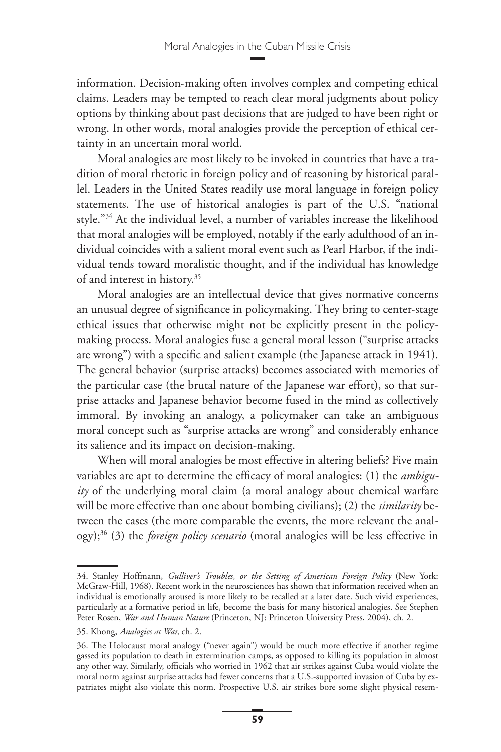information. Decision-making often involves complex and competing ethical claims. Leaders may be tempted to reach clear moral judgments about policy options by thinking about past decisions that are judged to have been right or wrong. In other words, moral analogies provide the perception of ethical certainty in an uncertain moral world.

Moral analogies are most likely to be invoked in countries that have a tradition of moral rhetoric in foreign policy and of reasoning by historical parallel. Leaders in the United States readily use moral language in foreign policy statements. The use of historical analogies is part of the U.S. "national style."34 At the individual level, a number of variables increase the likelihood that moral analogies will be employed, notably if the early adulthood of an individual coincides with a salient moral event such as Pearl Harbor, if the individual tends toward moralistic thought, and if the individual has knowledge of and interest in history.35

Moral analogies are an intellectual device that gives normative concerns an unusual degree of significance in policymaking. They bring to center-stage ethical issues that otherwise might not be explicitly present in the policymaking process. Moral analogies fuse a general moral lesson ("surprise attacks are wrong") with a specific and salient example (the Japanese attack in 1941). The general behavior (surprise attacks) becomes associated with memories of the particular case (the brutal nature of the Japanese war effort), so that surprise attacks and Japanese behavior become fused in the mind as collectively immoral. By invoking an analogy, a policymaker can take an ambiguous moral concept such as "surprise attacks are wrong" and considerably enhance its salience and its impact on decision-making.

When will moral analogies be most effective in altering beliefs? Five main variables are apt to determine the efficacy of moral analogies: (1) the *ambiguity* of the underlying moral claim (a moral analogy about chemical warfare will be more effective than one about bombing civilians); (2) the *similarity* between the cases (the more comparable the events, the more relevant the analogy);36 (3) the *foreign policy scenario* (moral analogies will be less effective in

<sup>34.</sup> Stanley Hoffmann, *Gulliver's Troubles, or the Setting of American Foreign Policy* (New York: McGraw-Hill, 1968). Recent work in the neurosciences has shown that information received when an individual is emotionally aroused is more likely to be recalled at a later date. Such vivid experiences, particularly at a formative period in life, become the basis for many historical analogies. See Stephen Peter Rosen, *War and Human Nature* (Princeton, NJ: Princeton University Press, 2004), ch. 2.

<sup>35.</sup> Khong, *Analogies at War,* ch. 2.

<sup>36.</sup> The Holocaust moral analogy ("never again") would be much more effective if another regime gassed its population to death in extermination camps, as opposed to killing its population in almost any other way. Similarly, officials who worried in 1962 that air strikes against Cuba would violate the moral norm against surprise attacks had fewer concerns that a U.S.-supported invasion of Cuba by expatriates might also violate this norm. Prospective U.S. air strikes bore some slight physical resem-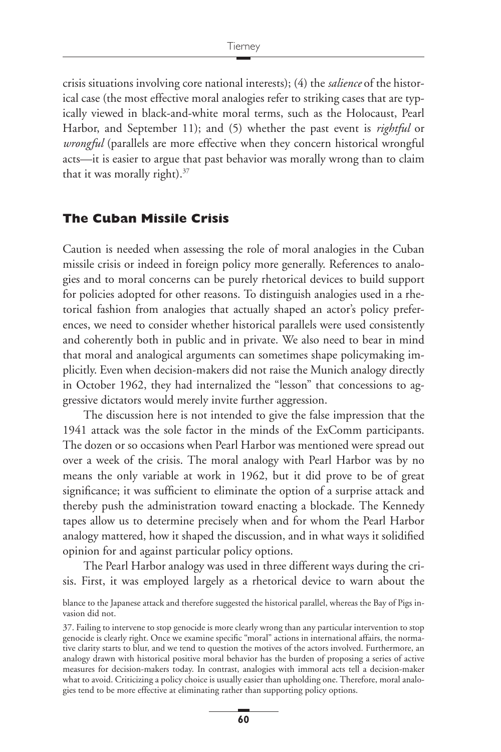crisis situations involving core national interests); (4) the *salience* of the historical case (the most effective moral analogies refer to striking cases that are typically viewed in black-and-white moral terms, such as the Holocaust, Pearl Harbor, and September 11); and (5) whether the past event is *rightful* or *wrongful* (parallels are more effective when they concern historical wrongful acts—it is easier to argue that past behavior was morally wrong than to claim that it was morally right). $37$ 

#### **The Cuban Missile Crisis**

Caution is needed when assessing the role of moral analogies in the Cuban missile crisis or indeed in foreign policy more generally. References to analogies and to moral concerns can be purely rhetorical devices to build support for policies adopted for other reasons. To distinguish analogies used in a rhetorical fashion from analogies that actually shaped an actor's policy preferences, we need to consider whether historical parallels were used consistently and coherently both in public and in private. We also need to bear in mind that moral and analogical arguments can sometimes shape policymaking implicitly. Even when decision-makers did not raise the Munich analogy directly in October 1962, they had internalized the "lesson" that concessions to aggressive dictators would merely invite further aggression.

The discussion here is not intended to give the false impression that the 1941 attack was the sole factor in the minds of the ExComm participants. The dozen or so occasions when Pearl Harbor was mentioned were spread out over a week of the crisis. The moral analogy with Pearl Harbor was by no means the only variable at work in 1962, but it did prove to be of great significance; it was sufficient to eliminate the option of a surprise attack and thereby push the administration toward enacting a blockade. The Kennedy tapes allow us to determine precisely when and for whom the Pearl Harbor analogy mattered, how it shaped the discussion, and in what ways it solidified opinion for and against particular policy options.

The Pearl Harbor analogy was used in three different ways during the crisis. First, it was employed largely as a rhetorical device to warn about the

blance to the Japanese attack and therefore suggested the historical parallel, whereas the Bay of Pigs invasion did not.

<sup>37.</sup> Failing to intervene to stop genocide is more clearly wrong than any particular intervention to stop genocide is clearly right. Once we examine specific "moral" actions in international affairs, the normative clarity starts to blur, and we tend to question the motives of the actors involved. Furthermore, an analogy drawn with historical positive moral behavior has the burden of proposing a series of active measures for decision-makers today. In contrast, analogies with immoral acts tell a decision-maker what to avoid. Criticizing a policy choice is usually easier than upholding one. Therefore, moral analogies tend to be more effective at eliminating rather than supporting policy options.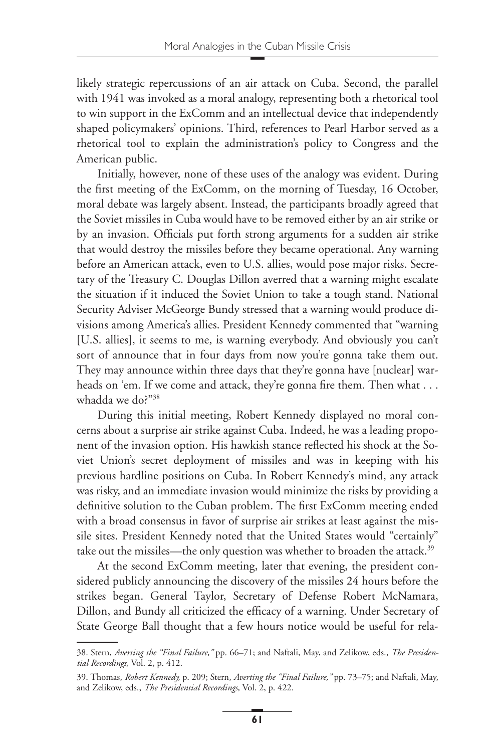likely strategic repercussions of an air attack on Cuba. Second, the parallel with 1941 was invoked as a moral analogy, representing both a rhetorical tool to win support in the ExComm and an intellectual device that independently shaped policymakers' opinions. Third, references to Pearl Harbor served as a rhetorical tool to explain the administration's policy to Congress and the American public.

Initially, however, none of these uses of the analogy was evident. During the first meeting of the ExComm, on the morning of Tuesday, 16 October, moral debate was largely absent. Instead, the participants broadly agreed that the Soviet missiles in Cuba would have to be removed either by an air strike or by an invasion. Officials put forth strong arguments for a sudden air strike that would destroy the missiles before they became operational. Any warning before an American attack, even to U.S. allies, would pose major risks. Secretary of the Treasury C. Douglas Dillon averred that a warning might escalate the situation if it induced the Soviet Union to take a tough stand. National Security Adviser McGeorge Bundy stressed that a warning would produce divisions among America's allies. President Kennedy commented that "warning [U.S. allies], it seems to me, is warning everybody. And obviously you can't sort of announce that in four days from now you're gonna take them out. They may announce within three days that they're gonna have [nuclear] warheads on 'em. If we come and attack, they're gonna fire them. Then what  $\dots$ whadda we do?"38

During this initial meeting, Robert Kennedy displayed no moral concerns about a surprise air strike against Cuba. Indeed, he was a leading proponent of the invasion option. His hawkish stance reflected his shock at the Soviet Union's secret deployment of missiles and was in keeping with his previous hardline positions on Cuba. In Robert Kennedy's mind, any attack was risky, and an immediate invasion would minimize the risks by providing a definitive solution to the Cuban problem. The first ExComm meeting ended with a broad consensus in favor of surprise air strikes at least against the missile sites. President Kennedy noted that the United States would "certainly" take out the missiles—the only question was whether to broaden the attack.<sup>39</sup>

At the second ExComm meeting, later that evening, the president considered publicly announcing the discovery of the missiles 24 hours before the strikes began. General Taylor, Secretary of Defense Robert McNamara, Dillon, and Bundy all criticized the efficacy of a warning. Under Secretary of State George Ball thought that a few hours notice would be useful for rela-

<sup>38.</sup> Stern, *Averting the "Final Failure,"* pp. 66–71; and Naftali, May, and Zelikow, eds., *The Presidential Recordings,* Vol. 2, p. 412.

<sup>39.</sup> Thomas, *Robert Kennedy,* p. 209; Stern, *Averting the "Final Failure,"* pp. 73–75; and Naftali, May, and Zelikow, eds., *The Presidential Recordings,* Vol. 2, p. 422.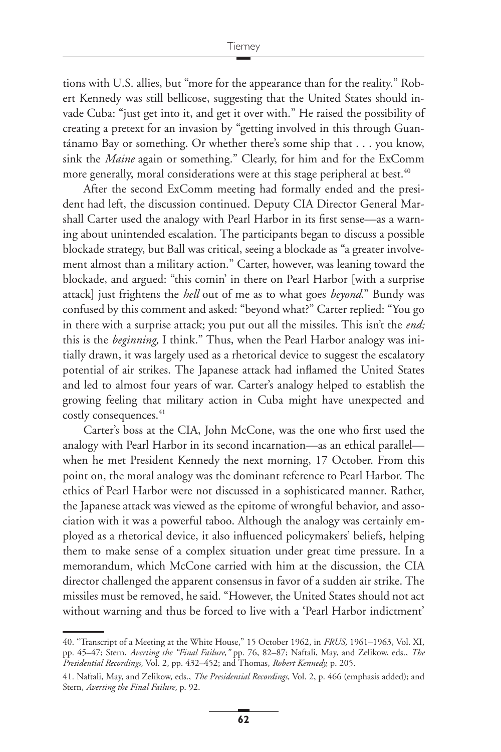tions with U.S. allies, but "more for the appearance than for the reality." Robert Kennedy was still bellicose, suggesting that the United States should invade Cuba: "just get into it, and get it over with." He raised the possibility of creating a pretext for an invasion by "getting involved in this through Guantánamo Bay or something. Or whether there's some ship that . . . you know, sink the *Maine* again or something." Clearly, for him and for the ExComm more generally, moral considerations were at this stage peripheral at best.<sup>40</sup>

After the second ExComm meeting had formally ended and the president had left, the discussion continued. Deputy CIA Director General Marshall Carter used the analogy with Pearl Harbor in its first sense—as a warning about unintended escalation. The participants began to discuss a possible blockade strategy, but Ball was critical, seeing a blockade as "a greater involvement almost than a military action." Carter, however, was leaning toward the blockade, and argued: "this comin' in there on Pearl Harbor [with a surprise attack] just frightens the *hell* out of me as to what goes *beyond.*" Bundy was confused by this comment and asked: "beyond what?" Carter replied: "You go in there with a surprise attack; you put out all the missiles. This isn't the *end;* this is the *beginning,* I think." Thus, when the Pearl Harbor analogy was initially drawn, it was largely used as a rhetorical device to suggest the escalatory potential of air strikes. The Japanese attack had inflamed the United States and led to almost four years of war. Carter's analogy helped to establish the growing feeling that military action in Cuba might have unexpected and costly consequences.<sup>41</sup>

Carter's boss at the CIA, John McCone, was the one who first used the analogy with Pearl Harbor in its second incarnation—as an ethical parallel when he met President Kennedy the next morning, 17 October. From this point on, the moral analogy was the dominant reference to Pearl Harbor. The ethics of Pearl Harbor were not discussed in a sophisticated manner. Rather, the Japanese attack was viewed as the epitome of wrongful behavior, and association with it was a powerful taboo. Although the analogy was certainly employed as a rhetorical device, it also influenced policymakers' beliefs, helping them to make sense of a complex situation under great time pressure. In a memorandum, which McCone carried with him at the discussion, the CIA director challenged the apparent consensus in favor of a sudden air strike. The missiles must be removed, he said. "However, the United States should not act without warning and thus be forced to live with a 'Pearl Harbor indictment'

<sup>40. &</sup>quot;Transcript of a Meeting at the White House," 15 October 1962, in *FRUS,* 1961–1963, Vol. XI, pp. 45–47; Stern, *Averting the "Final Failure,"* pp. 76, 82–87; Naftali, May, and Zelikow, eds., *The Presidential Recordings,* Vol. 2, pp. 432–452; and Thomas, *Robert Kennedy,* p. 205.

<sup>41.</sup> Naftali, May, and Zelikow, eds., *The Presidential Recordings,* Vol. 2, p. 466 (emphasis added); and Stern, *Averting the Final Failure,* p. 92.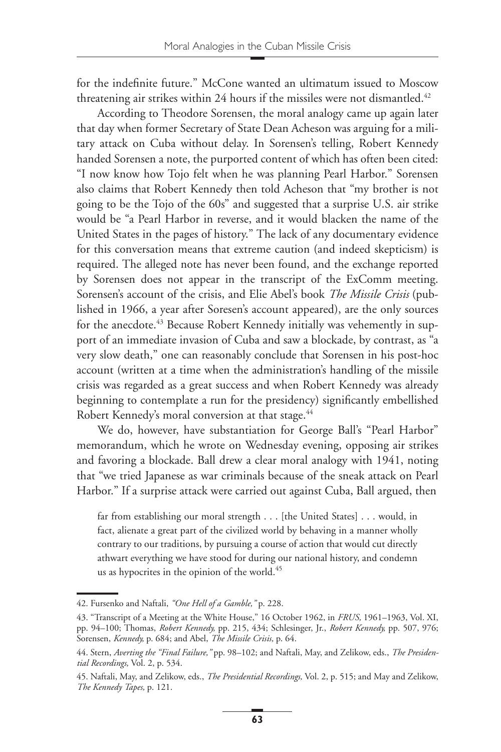for the indefinite future." McCone wanted an ultimatum issued to Moscow threatening air strikes within 24 hours if the missiles were not dismantled.<sup>42</sup>

According to Theodore Sorensen, the moral analogy came up again later that day when former Secretary of State Dean Acheson was arguing for a military attack on Cuba without delay. In Sorensen's telling, Robert Kennedy handed Sorensen a note, the purported content of which has often been cited: "I now know how Tojo felt when he was planning Pearl Harbor." Sorensen also claims that Robert Kennedy then told Acheson that "my brother is not going to be the Tojo of the 60s" and suggested that a surprise U.S. air strike would be "a Pearl Harbor in reverse, and it would blacken the name of the United States in the pages of history." The lack of any documentary evidence for this conversation means that extreme caution (and indeed skepticism) is required. The alleged note has never been found, and the exchange reported by Sorensen does not appear in the transcript of the ExComm meeting. Sorensen's account of the crisis, and Elie Abel's book *The Missile Crisis* (published in 1966, a year after Soresen's account appeared), are the only sources for the anecdote.<sup>43</sup> Because Robert Kennedy initially was vehemently in support of an immediate invasion of Cuba and saw a blockade, by contrast, as "a very slow death," one can reasonably conclude that Sorensen in his post-hoc account (written at a time when the administration's handling of the missile crisis was regarded as a great success and when Robert Kennedy was already beginning to contemplate a run for the presidency) significantly embellished Robert Kennedy's moral conversion at that stage.<sup>44</sup>

We do, however, have substantiation for George Ball's "Pearl Harbor" memorandum, which he wrote on Wednesday evening, opposing air strikes and favoring a blockade. Ball drew a clear moral analogy with 1941, noting that "we tried Japanese as war criminals because of the sneak attack on Pearl Harbor." If a surprise attack were carried out against Cuba, Ball argued, then

far from establishing our moral strength . . . [the United States] . . . would, in fact, alienate a great part of the civilized world by behaving in a manner wholly contrary to our traditions, by pursuing a course of action that would cut directly athwart everything we have stood for during our national history, and condemn us as hypocrites in the opinion of the world.<sup>45</sup>

<sup>42.</sup> Fursenko and Naftali, *"One Hell of a Gamble,"* p. 228.

<sup>43. &</sup>quot;Transcript of a Meeting at the White House," 16 October 1962, in *FRUS,* 1961–1963, Vol. XI, pp. 94–100; Thomas, *Robert Kennedy,* pp. 215, 434; Schlesinger, Jr., *Robert Kennedy,* pp. 507, 976; Sorensen, *Kennedy,* p. 684; and Abel, *The Missile Crisis,* p. 64.

<sup>44.</sup> Stern, *Averting the "Final Failure,"* pp. 98–102; and Naftali, May, and Zelikow, eds., *The Presidential Recordings,* Vol. 2, p. 534.

<sup>45.</sup> Naftali, May, and Zelikow, eds., *The Presidential Recordings,* Vol. 2, p. 515; and May and Zelikow, *The Kennedy Tapes,* p. 121.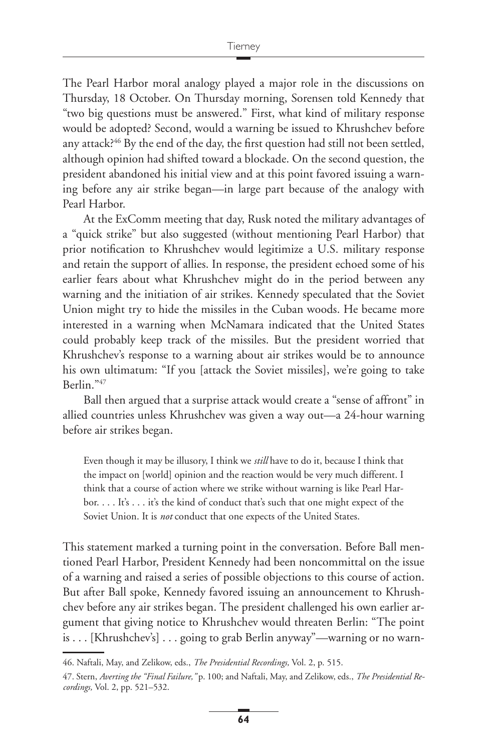The Pearl Harbor moral analogy played a major role in the discussions on Thursday, 18 October. On Thursday morning, Sorensen told Kennedy that "two big questions must be answered." First, what kind of military response would be adopted? Second, would a warning be issued to Khrushchev before any attack? $46$  By the end of the day, the first question had still not been settled, although opinion had shifted toward a blockade. On the second question, the president abandoned his initial view and at this point favored issuing a warning before any air strike began—in large part because of the analogy with Pearl Harbor.

At the ExComm meeting that day, Rusk noted the military advantages of a "quick strike" but also suggested (without mentioning Pearl Harbor) that prior notification to Khrushchev would legitimize a U.S. military response and retain the support of allies. In response, the president echoed some of his earlier fears about what Khrushchev might do in the period between any warning and the initiation of air strikes. Kennedy speculated that the Soviet Union might try to hide the missiles in the Cuban woods. He became more interested in a warning when McNamara indicated that the United States could probably keep track of the missiles. But the president worried that Khrushchev's response to a warning about air strikes would be to announce his own ultimatum: "If you [attack the Soviet missiles], we're going to take Berlin."47

Ball then argued that a surprise attack would create a "sense of affront" in allied countries unless Khrushchev was given a way out—a 24-hour warning before air strikes began.

Even though it may be illusory, I think we *still* have to do it, because I think that the impact on [world] opinion and the reaction would be very much different. I think that a course of action where we strike without warning is like Pearl Harbor. . . . It's . . . it's the kind of conduct that's such that one might expect of the Soviet Union. It is *not* conduct that one expects of the United States.

This statement marked a turning point in the conversation. Before Ball mentioned Pearl Harbor, President Kennedy had been noncommittal on the issue of a warning and raised a series of possible objections to this course of action. But after Ball spoke, Kennedy favored issuing an announcement to Khrushchev before any air strikes began. The president challenged his own earlier argument that giving notice to Khrushchev would threaten Berlin: "The point is . . . [Khrushchev's]... going to grab Berlin anyway"—warning or no warn-

<sup>46.</sup> Naftali, May, and Zelikow, eds., *The Presidential Recordings,* Vol. 2, p. 515.

<sup>47.</sup> Stern, *Averting the "Final Failure,"* p. 100; and Naftali, May, and Zelikow, eds., *The Presidential Recordings,* Vol. 2, pp. 521–532.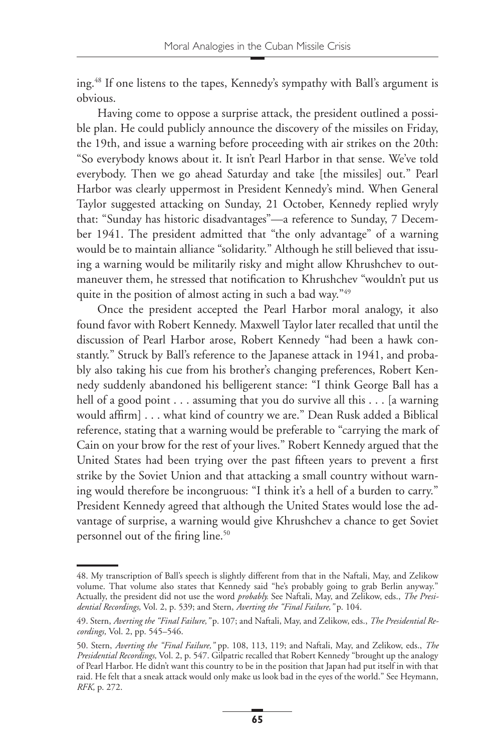ing.48 If one listens to the tapes, Kennedy's sympathy with Ball's argument is obvious.

Having come to oppose a surprise attack, the president outlined a possible plan. He could publicly announce the discovery of the missiles on Friday, the 19th, and issue a warning before proceeding with air strikes on the 20th: "So everybody knows about it. It isn't Pearl Harbor in that sense. We've told everybody. Then we go ahead Saturday and take [the missiles] out." Pearl Harbor was clearly uppermost in President Kennedy's mind. When General Taylor suggested attacking on Sunday, 21 October, Kennedy replied wryly that: "Sunday has historic disadvantages"—a reference to Sunday, 7 December 1941. The president admitted that "the only advantage" of a warning would be to maintain alliance "solidarity." Although he still believed that issuing a warning would be militarily risky and might allow Khrushchev to outmaneuver them, he stressed that notification to Khrushchev "wouldn't put us quite in the position of almost acting in such a bad way."<sup>49</sup>

Once the president accepted the Pearl Harbor moral analogy, it also found favor with Robert Kennedy. Maxwell Taylor later recalled that until the discussion of Pearl Harbor arose, Robert Kennedy "had been a hawk constantly." Struck by Ball's reference to the Japanese attack in 1941, and probably also taking his cue from his brother's changing preferences, Robert Kennedy suddenly abandoned his belligerent stance: "I think George Ball has a hell of a good point . . . assuming that you do survive all this . . . [a warning would affirm]... what kind of country we are." Dean Rusk added a Biblical reference, stating that a warning would be preferable to "carrying the mark of Cain on your brow for the rest of your lives." Robert Kennedy argued that the United States had been trying over the past fifteen years to prevent a first strike by the Soviet Union and that attacking a small country without warning would therefore be incongruous: "I think it's a hell of a burden to carry." President Kennedy agreed that although the United States would lose the advantage of surprise, a warning would give Khrushchev a chance to get Soviet personnel out of the firing line.<sup>50</sup>

<sup>48.</sup> My transcription of Ball's speech is slightly different from that in the Naftali, May, and Zelikow volume. That volume also states that Kennedy said "he's probably going to grab Berlin anyway." Actually, the president did not use the word *probably.* See Naftali, May, and Zelikow, eds., *The Presidential Recordings,* Vol. 2, p. 539; and Stern, *Averting the "Final Failure,"* p. 104.

<sup>49.</sup> Stern, *Averting the "Final Failure,"* p. 107; and Naftali, May, and Zelikow, eds., *The Presidential Recordings,* Vol. 2, pp. 545–546.

<sup>50.</sup> Stern, *Averting the "Final Failure,"* pp. 108, 113, 119; and Naftali, May, and Zelikow, eds., *The Presidential Recordings,* Vol. 2, p. 547. Gilpatric recalled that Robert Kennedy "brought up the analogy of Pearl Harbor. He didn't want this country to be in the position that Japan had put itself in with that raid. He felt that a sneak attack would only make us look bad in the eyes of the world." See Heymann, *RFK,* p. 272.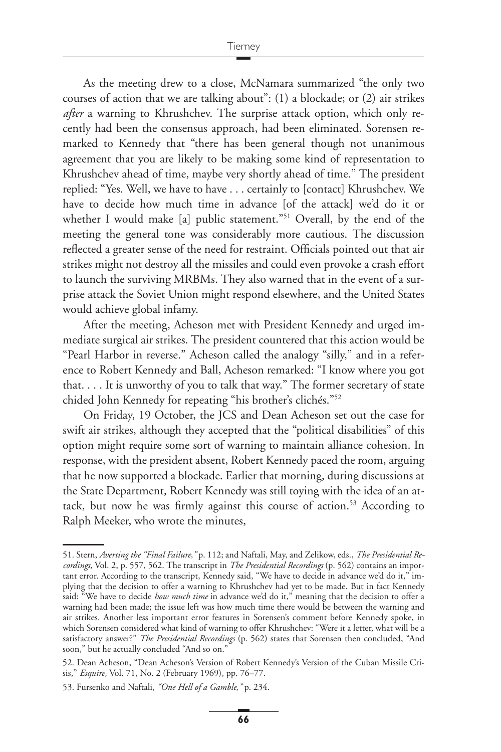As the meeting drew to a close, McNamara summarized "the only two courses of action that we are talking about": (1) a blockade; or (2) air strikes *after* a warning to Khrushchev. The surprise attack option, which only recently had been the consensus approach, had been eliminated. Sorensen remarked to Kennedy that "there has been general though not unanimous agreement that you are likely to be making some kind of representation to Khrushchev ahead of time, maybe very shortly ahead of time." The president replied: "Yes. Well, we have to have . . . certainly to [contact] Khrushchev. We have to decide how much time in advance [of the attack] we'd do it or whether I would make [a] public statement."<sup>51</sup> Overall, by the end of the meeting the general tone was considerably more cautious. The discussion reflected a greater sense of the need for restraint. Officials pointed out that air strikes might not destroy all the missiles and could even provoke a crash effort to launch the surviving MRBMs. They also warned that in the event of a surprise attack the Soviet Union might respond elsewhere, and the United States would achieve global infamy.

After the meeting, Acheson met with President Kennedy and urged immediate surgical air strikes. The president countered that this action would be "Pearl Harbor in reverse." Acheson called the analogy "silly," and in a reference to Robert Kennedy and Ball, Acheson remarked: "I know where you got that. . . . It is unworthy of you to talk that way." The former secretary of state chided John Kennedy for repeating "his brother's clichés."52

On Friday, 19 October, the JCS and Dean Acheson set out the case for swift air strikes, although they accepted that the "political disabilities" of this option might require some sort of warning to maintain alliance cohesion. In response, with the president absent, Robert Kennedy paced the room, arguing that he now supported a blockade. Earlier that morning, during discussions at the State Department, Robert Kennedy was still toying with the idea of an attack, but now he was firmly against this course of action.<sup>53</sup> According to Ralph Meeker, who wrote the minutes,

<sup>51.</sup> Stern, *Averting the "Final Failure,"* p. 112; and Naftali, May, and Zelikow, eds., *The Presidential Recordings,* Vol. 2, p. 557, 562. The transcript in *The Presidential Recordings* (p. 562) contains an important error. According to the transcript, Kennedy said, "We have to decide in advance we'd do it," implying that the decision to offer a warning to Khrushchev had yet to be made. But in fact Kennedy said: "We have to decide *how much time* in advance we'd do it," meaning that the decision to offer a warning had been made; the issue left was how much time there would be between the warning and air strikes. Another less important error features in Sorensen's comment before Kennedy spoke, in which Sorensen considered what kind of warning to offer Khrushchev: "Were it a letter, what will be a satisfactory answer?" *The Presidential Recordings* (p. 562) states that Sorensen then concluded, "And soon," but he actually concluded "And so on."

<sup>52.</sup> Dean Acheson, "Dean Acheson's Version of Robert Kennedy's Version of the Cuban Missile Crisis," *Esquire,* Vol. 71, No. 2 (February 1969), pp. 76–77.

<sup>53.</sup> Fursenko and Naftali, *"One Hell of a Gamble,"* p. 234.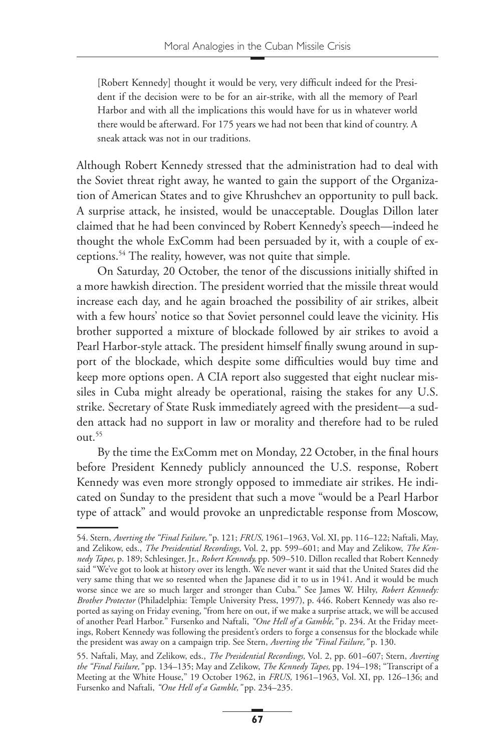[Robert Kennedy] thought it would be very, very difficult indeed for the President if the decision were to be for an air-strike, with all the memory of Pearl Harbor and with all the implications this would have for us in whatever world there would be afterward. For 175 years we had not been that kind of country. A sneak attack was not in our traditions.

Although Robert Kennedy stressed that the administration had to deal with the Soviet threat right away, he wanted to gain the support of the Organization of American States and to give Khrushchev an opportunity to pull back. A surprise attack, he insisted, would be unacceptable. Douglas Dillon later claimed that he had been convinced by Robert Kennedy's speech—indeed he thought the whole ExComm had been persuaded by it, with a couple of exceptions.54 The reality, however, was not quite that simple.

On Saturday, 20 October, the tenor of the discussions initially shifted in a more hawkish direction. The president worried that the missile threat would increase each day, and he again broached the possibility of air strikes, albeit with a few hours' notice so that Soviet personnel could leave the vicinity. His brother supported a mixture of blockade followed by air strikes to avoid a Pearl Harbor-style attack. The president himself finally swung around in support of the blockade, which despite some difficulties would buy time and keep more options open. A CIA report also suggested that eight nuclear missiles in Cuba might already be operational, raising the stakes for any U.S. strike. Secretary of State Rusk immediately agreed with the president—a sudden attack had no support in law or morality and therefore had to be ruled  $011t.^{55}$ 

By the time the ExComm met on Monday, 22 October, in the final hours before President Kennedy publicly announced the U.S. response, Robert Kennedy was even more strongly opposed to immediate air strikes. He indicated on Sunday to the president that such a move "would be a Pearl Harbor type of attack" and would provoke an unpredictable response from Moscow,

<sup>54.</sup> Stern, *Averting the "Final Failure,"* p. 121; *FRUS,* 1961–1963, Vol. XI, pp. 116–122; Naftali, May, and Zelikow, eds., *The Presidential Recordings,* Vol. 2, pp. 599–601; and May and Zelikow, *The Kennedy Tapes,* p. 189; Schlesinger, Jr., *Robert Kennedy,* pp. 509–510. Dillon recalled that Robert Kennedy said "We've got to look at history over its length. We never want it said that the United States did the very same thing that we so resented when the Japanese did it to us in 1941. And it would be much worse since we are so much larger and stronger than Cuba." See James W. Hilty, *Robert Kennedy: Brother Protector* (Philadelphia: Temple University Press, 1997), p. 446. Robert Kennedy was also reported as saying on Friday evening, "from here on out, if we make a surprise attack, we will be accused of another Pearl Harbor." Fursenko and Naftali, *"One Hell of a Gamble,"* p. 234. At the Friday meetings, Robert Kennedy was following the president's orders to forge a consensus for the blockade while the president was away on a campaign trip. See Stern, *Averting the "Final Failure,"* p. 130.

<sup>55.</sup> Naftali, May, and Zelikow, eds., *The Presidential Recordings,* Vol. 2, pp. 601–607; Stern, *Averting the "Final Failure,"* pp. 134–135; May and Zelikow, *The Kennedy Tapes,* pp. 194–198; "Transcript of a Meeting at the White House," 19 October 1962, in *FRUS,* 1961–1963, Vol. XI, pp. 126–136; and Fursenko and Naftali, *"One Hell of a Gamble,"* pp. 234–235.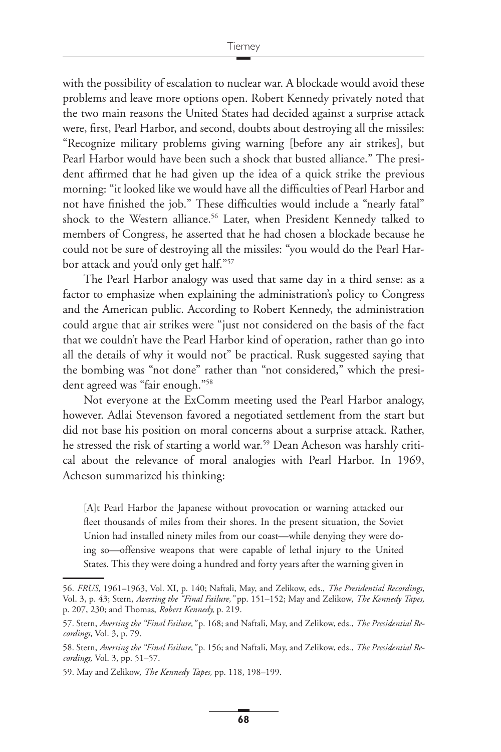with the possibility of escalation to nuclear war. A blockade would avoid these problems and leave more options open. Robert Kennedy privately noted that the two main reasons the United States had decided against a surprise attack were, first, Pearl Harbor, and second, doubts about destroying all the missiles: "Recognize military problems giving warning [before any air strikes], but Pearl Harbor would have been such a shock that busted alliance." The president affirmed that he had given up the idea of a quick strike the previous morning: "it looked like we would have all the difficulties of Pearl Harbor and not have finished the job." These difficulties would include a "nearly fatal" shock to the Western alliance.<sup>56</sup> Later, when President Kennedy talked to members of Congress, he asserted that he had chosen a blockade because he could not be sure of destroying all the missiles: "you would do the Pearl Harbor attack and you'd only get half."57

The Pearl Harbor analogy was used that same day in a third sense: as a factor to emphasize when explaining the administration's policy to Congress and the American public. According to Robert Kennedy, the administration could argue that air strikes were "just not considered on the basis of the fact that we couldn't have the Pearl Harbor kind of operation, rather than go into all the details of why it would not" be practical. Rusk suggested saying that the bombing was "not done" rather than "not considered," which the president agreed was "fair enough."58

Not everyone at the ExComm meeting used the Pearl Harbor analogy, however. Adlai Stevenson favored a negotiated settlement from the start but did not base his position on moral concerns about a surprise attack. Rather, he stressed the risk of starting a world war.<sup>59</sup> Dean Acheson was harshly critical about the relevance of moral analogies with Pearl Harbor. In 1969, Acheson summarized his thinking:

[A]t Pearl Harbor the Japanese without provocation or warning attacked our fleet thousands of miles from their shores. In the present situation, the Soviet Union had installed ninety miles from our coast—while denying they were doing so—offensive weapons that were capable of lethal injury to the United States. This they were doing a hundred and forty years after the warning given in

<sup>56.</sup> *FRUS,* 1961–1963, Vol. XI, p. 140; Naftali, May, and Zelikow, eds., *The Presidential Recordings,* Vol. 3, p. 43; Stern, *Averting the "Final Failure,"* pp. 151–152; May and Zelikow, *The Kennedy Tapes,* p. 207, 230; and Thomas, *Robert Kennedy,* p. 219.

<sup>57.</sup> Stern, *Averting the "Final Failure,"* p. 168; and Naftali, May, and Zelikow, eds., *The Presidential Recordings,* Vol. 3, p. 79.

<sup>58.</sup> Stern, *Averting the "Final Failure,"* p. 156; and Naftali, May, and Zelikow, eds., *The Presidential Recordings,* Vol. 3, pp. 51–57.

<sup>59.</sup> May and Zelikow, *The Kennedy Tapes,* pp. 118, 198–199.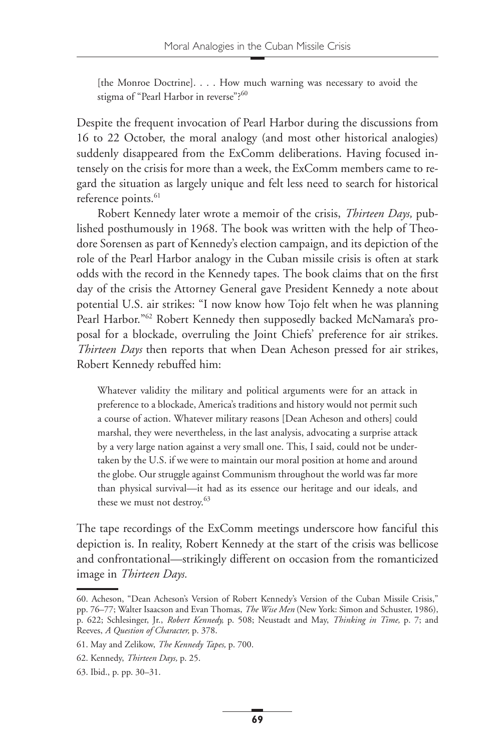[the Monroe Doctrine]. . . . How much warning was necessary to avoid the stigma of "Pearl Harbor in reverse"?<sup>60</sup>

Despite the frequent invocation of Pearl Harbor during the discussions from 16 to 22 October, the moral analogy (and most other historical analogies) suddenly disappeared from the ExComm deliberations. Having focused intensely on the crisis for more than a week, the ExComm members came to regard the situation as largely unique and felt less need to search for historical reference points.<sup>61</sup>

Robert Kennedy later wrote a memoir of the crisis, *Thirteen Days,* published posthumously in 1968. The book was written with the help of Theodore Sorensen as part of Kennedy's election campaign, and its depiction of the role of the Pearl Harbor analogy in the Cuban missile crisis is often at stark odds with the record in the Kennedy tapes. The book claims that on the first day of the crisis the Attorney General gave President Kennedy a note about potential U.S. air strikes: "I now know how Tojo felt when he was planning Pearl Harbor."62 Robert Kennedy then supposedly backed McNamara's proposal for a blockade, overruling the Joint Chiefs' preference for air strikes. *Thirteen Days* then reports that when Dean Acheson pressed for air strikes, Robert Kennedy rebuffed him:

Whatever validity the military and political arguments were for an attack in preference to a blockade, America's traditions and history would not permit such a course of action. Whatever military reasons [Dean Acheson and others] could marshal, they were nevertheless, in the last analysis, advocating a surprise attack by a very large nation against a very small one. This, I said, could not be undertaken by the U.S. if we were to maintain our moral position at home and around the globe. Our struggle against Communism throughout the world was far more than physical survival—it had as its essence our heritage and our ideals, and these we must not destroy.<sup>63</sup>

The tape recordings of the ExComm meetings underscore how fanciful this depiction is. In reality, Robert Kennedy at the start of the crisis was bellicose and confrontational—strikingly different on occasion from the romanticized image in *Thirteen Days.*

<sup>60.</sup> Acheson, "Dean Acheson's Version of Robert Kennedy's Version of the Cuban Missile Crisis," pp. 76–77; Walter Isaacson and Evan Thomas, *The Wise Men* (New York: Simon and Schuster, 1986), p. 622; Schlesinger, Jr., *Robert Kennedy,* p. 508; Neustadt and May, *Thinking in Time,* p. 7; and Reeves, *A Question of Character,* p. 378.

<sup>61.</sup> May and Zelikow, *The Kennedy Tapes,* p. 700.

<sup>62.</sup> Kennedy, *Thirteen Days,* p. 25.

<sup>63.</sup> Ibid., p. pp. 30–31.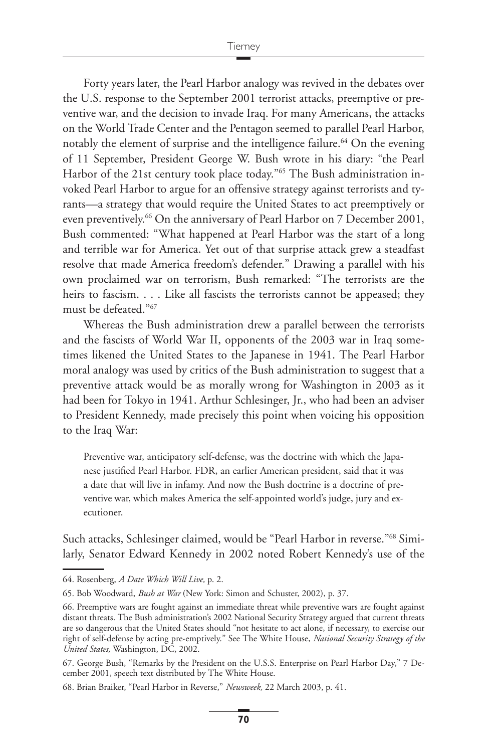Forty years later, the Pearl Harbor analogy was revived in the debates over the U.S. response to the September 2001 terrorist attacks, preemptive or preventive war, and the decision to invade Iraq. For many Americans, the attacks on the World Trade Center and the Pentagon seemed to parallel Pearl Harbor, notably the element of surprise and the intelligence failure.<sup>64</sup> On the evening of 11 September, President George W. Bush wrote in his diary: "the Pearl Harbor of the 21st century took place today."<sup>65</sup> The Bush administration invoked Pearl Harbor to argue for an offensive strategy against terrorists and tyrants—a strategy that would require the United States to act preemptively or even preventively.<sup>66</sup> On the anniversary of Pearl Harbor on 7 December 2001, Bush commented: "What happened at Pearl Harbor was the start of a long and terrible war for America. Yet out of that surprise attack grew a steadfast resolve that made America freedom's defender." Drawing a parallel with his own proclaimed war on terrorism, Bush remarked: "The terrorists are the heirs to fascism. . . . Like all fascists the terrorists cannot be appeased; they must be defeated."67

Whereas the Bush administration drew a parallel between the terrorists and the fascists of World War II, opponents of the 2003 war in Iraq sometimes likened the United States to the Japanese in 1941. The Pearl Harbor moral analogy was used by critics of the Bush administration to suggest that a preventive attack would be as morally wrong for Washington in 2003 as it had been for Tokyo in 1941. Arthur Schlesinger, Jr., who had been an adviser to President Kennedy, made precisely this point when voicing his opposition to the Iraq War:

Preventive war, anticipatory self-defense, was the doctrine with which the Japanese justified Pearl Harbor. FDR, an earlier American president, said that it was a date that will live in infamy. And now the Bush doctrine is a doctrine of preventive war, which makes America the self-appointed world's judge, jury and executioner.

Such attacks, Schlesinger claimed, would be "Pearl Harbor in reverse."68 Similarly, Senator Edward Kennedy in 2002 noted Robert Kennedy's use of the

<sup>64.</sup> Rosenberg, *A Date Which Will Live,* p. 2.

<sup>65.</sup> Bob Woodward, *Bush at War* (New York: Simon and Schuster, 2002), p. 37.

<sup>66.</sup> Preemptive wars are fought against an immediate threat while preventive wars are fought against distant threats. The Bush administration's 2002 National Security Strategy argued that current threats are so dangerous that the United States should "not hesitate to act alone, if necessary, to exercise our right of self-defense by acting pre-emptively." See The White House, *National Security Strategy of the United States,* Washington, DC, 2002.

<sup>67.</sup> George Bush, "Remarks by the President on the U.S.S. Enterprise on Pearl Harbor Day," 7 December 2001, speech text distributed by The White House.

<sup>68.</sup> Brian Braiker, "Pearl Harbor in Reverse," *Newsweek,* 22 March 2003, p. 41.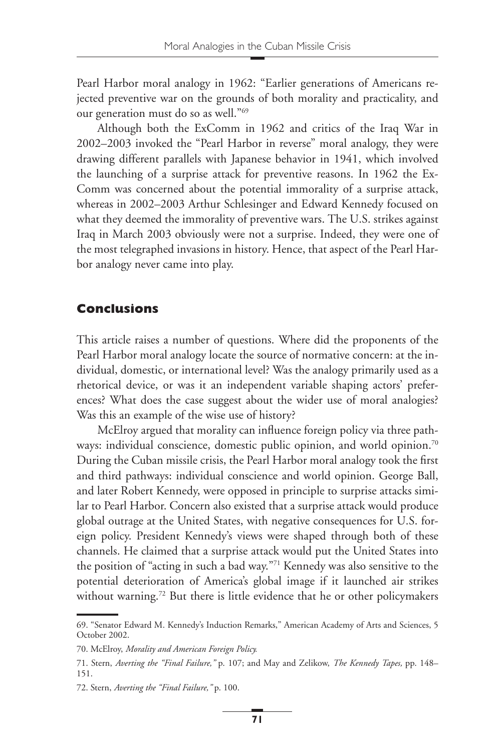Pearl Harbor moral analogy in 1962: "Earlier generations of Americans rejected preventive war on the grounds of both morality and practicality, and our generation must do so as well."69

Although both the ExComm in 1962 and critics of the Iraq War in 2002–2003 invoked the "Pearl Harbor in reverse" moral analogy, they were drawing different parallels with Japanese behavior in 1941, which involved the launching of a surprise attack for preventive reasons. In 1962 the Ex-Comm was concerned about the potential immorality of a surprise attack, whereas in 2002–2003 Arthur Schlesinger and Edward Kennedy focused on what they deemed the immorality of preventive wars. The U.S. strikes against Iraq in March 2003 obviously were not a surprise. Indeed, they were one of the most telegraphed invasions in history. Hence, that aspect of the Pearl Harbor analogy never came into play.

#### **Conclusions**

This article raises a number of questions. Where did the proponents of the Pearl Harbor moral analogy locate the source of normative concern: at the individual, domestic, or international level? Was the analogy primarily used as a rhetorical device, or was it an independent variable shaping actors' preferences? What does the case suggest about the wider use of moral analogies? Was this an example of the wise use of history?

McElroy argued that morality can influence foreign policy via three pathways: individual conscience, domestic public opinion, and world opinion.<sup>70</sup> During the Cuban missile crisis, the Pearl Harbor moral analogy took the first and third pathways: individual conscience and world opinion. George Ball, and later Robert Kennedy, were opposed in principle to surprise attacks similar to Pearl Harbor. Concern also existed that a surprise attack would produce global outrage at the United States, with negative consequences for U.S. foreign policy. President Kennedy's views were shaped through both of these channels. He claimed that a surprise attack would put the United States into the position of "acting in such a bad way."71 Kennedy was also sensitive to the potential deterioration of America's global image if it launched air strikes without warning.<sup>72</sup> But there is little evidence that he or other policymakers

<sup>69. &</sup>quot;Senator Edward M. Kennedy's Induction Remarks," American Academy of Arts and Sciences, 5 October 2002.

<sup>70.</sup> McElroy, *Morality and American Foreign Policy.*

<sup>71.</sup> Stern, *Averting the "Final Failure,"* p. 107; and May and Zelikow, *The Kennedy Tapes,* pp. 148– 151.

<sup>72.</sup> Stern, *Averting the "Final Failure,"* p. 100.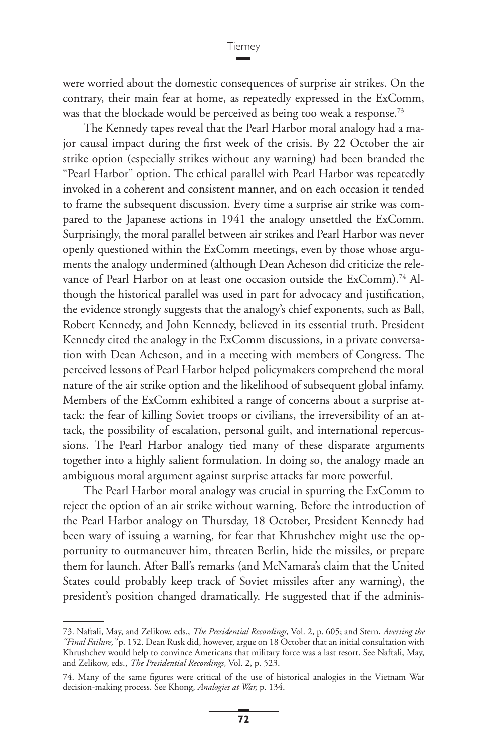were worried about the domestic consequences of surprise air strikes. On the contrary, their main fear at home, as repeatedly expressed in the ExComm, was that the blockade would be perceived as being too weak a response.<sup>73</sup>

The Kennedy tapes reveal that the Pearl Harbor moral analogy had a major causal impact during the first week of the crisis. By 22 October the air strike option (especially strikes without any warning) had been branded the "Pearl Harbor" option. The ethical parallel with Pearl Harbor was repeatedly invoked in a coherent and consistent manner, and on each occasion it tended to frame the subsequent discussion. Every time a surprise air strike was compared to the Japanese actions in 1941 the analogy unsettled the ExComm. Surprisingly, the moral parallel between air strikes and Pearl Harbor was never openly questioned within the ExComm meetings, even by those whose arguments the analogy undermined (although Dean Acheson did criticize the relevance of Pearl Harbor on at least one occasion outside the ExComm).<sup>74</sup> Although the historical parallel was used in part for advocacy and justification, the evidence strongly suggests that the analogy's chief exponents, such as Ball, Robert Kennedy, and John Kennedy, believed in its essential truth. President Kennedy cited the analogy in the ExComm discussions, in a private conversation with Dean Acheson, and in a meeting with members of Congress. The perceived lessons of Pearl Harbor helped policymakers comprehend the moral nature of the air strike option and the likelihood of subsequent global infamy. Members of the ExComm exhibited a range of concerns about a surprise attack: the fear of killing Soviet troops or civilians, the irreversibility of an attack, the possibility of escalation, personal guilt, and international repercussions. The Pearl Harbor analogy tied many of these disparate arguments together into a highly salient formulation. In doing so, the analogy made an ambiguous moral argument against surprise attacks far more powerful.

The Pearl Harbor moral analogy was crucial in spurring the ExComm to reject the option of an air strike without warning. Before the introduction of the Pearl Harbor analogy on Thursday, 18 October, President Kennedy had been wary of issuing a warning, for fear that Khrushchev might use the opportunity to outmaneuver him, threaten Berlin, hide the missiles, or prepare them for launch. After Ball's remarks (and McNamara's claim that the United States could probably keep track of Soviet missiles after any warning), the president's position changed dramatically. He suggested that if the adminis-

<sup>73.</sup> Naftali, May, and Zelikow, eds., *The Presidential Recordings,* Vol. 2, p. 605; and Stern, *Averting the "Final Failure,"* p. 152. Dean Rusk did, however, argue on 18 October that an initial consultation with Khrushchev would help to convince Americans that military force was a last resort. See Naftali, May, and Zelikow, eds., *The Presidential Recordings,* Vol. 2, p. 523.

<sup>74.</sup> Many of the same figures were critical of the use of historical analogies in the Vietnam War decision-making process. See Khong, *Analogies at War,* p. 134.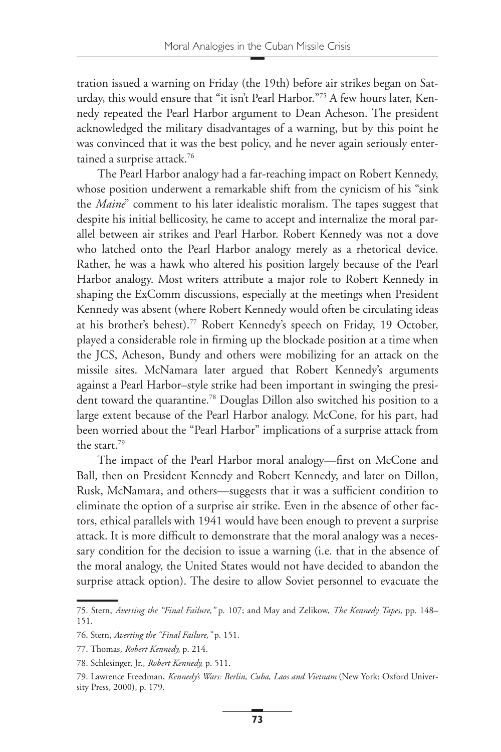tration issued a warning on Friday (the 19th) before air strikes began on Saturday, this would ensure that "it isn't Pearl Harbor."75 A few hours later, Kennedy repeated the Pearl Harbor argument to Dean Acheson. The president acknowledged the military disadvantages of a warning, but by this point he was convinced that it was the best policy, and he never again seriously entertained a surprise attack.<sup>76</sup>

The Pearl Harbor analogy had a far-reaching impact on Robert Kennedy, whose position underwent a remarkable shift from the cynicism of his "sink the *Maine*" comment to his later idealistic moralism. The tapes suggest that despite his initial bellicosity, he came to accept and internalize the moral parallel between air strikes and Pearl Harbor. Robert Kennedy was not a dove who latched onto the Pearl Harbor analogy merely as a rhetorical device. Rather, he was a hawk who altered his position largely because of the Pearl Harbor analogy. Most writers attribute a major role to Robert Kennedy in shaping the ExComm discussions, especially at the meetings when President Kennedy was absent (where Robert Kennedy would often be circulating ideas at his brother's behest).<sup>77</sup> Robert Kennedy's speech on Friday, 19 October, played a considerable role in firming up the blockade position at a time when the JCS, Acheson, Bundy and others were mobilizing for an attack on the missile sites. McNamara later argued that Robert Kennedy's arguments against a Pearl Harbor–style strike had been important in swinging the president toward the quarantine.78 Douglas Dillon also switched his position to a large extent because of the Pearl Harbor analogy. McCone, for his part, had been worried about the "Pearl Harbor" implications of a surprise attack from the start.79

The impact of the Pearl Harbor moral analogy—first on McCone and Ball, then on President Kennedy and Robert Kennedy, and later on Dillon, Rusk, McNamara, and others—suggests that it was a sufficient condition to eliminate the option of a surprise air strike. Even in the absence of other factors, ethical parallels with 1941 would have been enough to prevent a surprise attack. It is more difficult to demonstrate that the moral analogy was a necessary condition for the decision to issue a warning (i.e. that in the absence of the moral analogy, the United States would not have decided to abandon the surprise attack option). The desire to allow Soviet personnel to evacuate the

<sup>75.</sup> Stern, *Averting the "Final Failure,"* p. 107; and May and Zelikow, *The Kennedy Tapes,* pp. 148– 151.

<sup>76.</sup> Stern, *Averting the "Final Failure,"* p. 151.

<sup>77.</sup> Thomas, *Robert Kennedy,* p. 214.

<sup>78.</sup> Schlesinger, Jr., *Robert Kennedy,* p. 511.

<sup>79.</sup> Lawrence Freedman, *Kennedy's Wars: Berlin, Cuba, Laos and Vietnam* (New York: Oxford University Press, 2000), p. 179.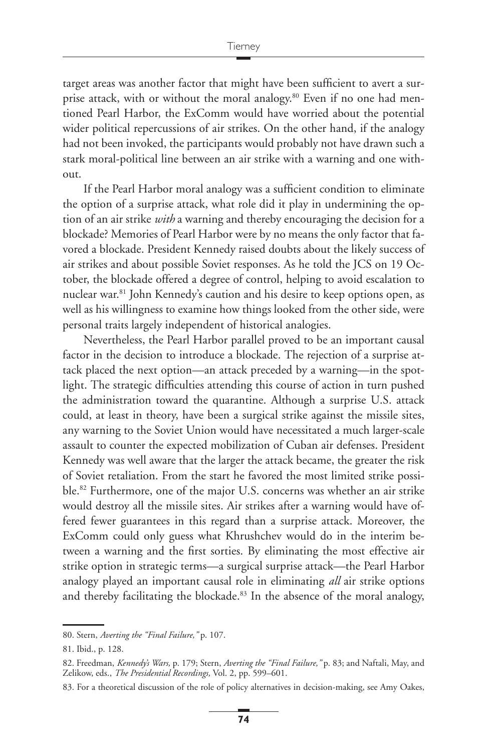target areas was another factor that might have been sufficient to avert a surprise attack, with or without the moral analogy.<sup>80</sup> Even if no one had mentioned Pearl Harbor, the ExComm would have worried about the potential wider political repercussions of air strikes. On the other hand, if the analogy had not been invoked, the participants would probably not have drawn such a stark moral-political line between an air strike with a warning and one without.

If the Pearl Harbor moral analogy was a sufficient condition to eliminate the option of a surprise attack, what role did it play in undermining the option of an air strike *with* a warning and thereby encouraging the decision for a blockade? Memories of Pearl Harbor were by no means the only factor that favored a blockade. President Kennedy raised doubts about the likely success of air strikes and about possible Soviet responses. As he told the JCS on 19 October, the blockade offered a degree of control, helping to avoid escalation to nuclear war.81 John Kennedy's caution and his desire to keep options open, as well as his willingness to examine how things looked from the other side, were personal traits largely independent of historical analogies.

Nevertheless, the Pearl Harbor parallel proved to be an important causal factor in the decision to introduce a blockade. The rejection of a surprise attack placed the next option—an attack preceded by a warning—in the spotlight. The strategic difficulties attending this course of action in turn pushed the administration toward the quarantine. Although a surprise U.S. attack could, at least in theory, have been a surgical strike against the missile sites, any warning to the Soviet Union would have necessitated a much larger-scale assault to counter the expected mobilization of Cuban air defenses. President Kennedy was well aware that the larger the attack became, the greater the risk of Soviet retaliation. From the start he favored the most limited strike possible.82 Furthermore, one of the major U.S. concerns was whether an air strike would destroy all the missile sites. Air strikes after a warning would have offered fewer guarantees in this regard than a surprise attack. Moreover, the ExComm could only guess what Khrushchev would do in the interim between a warning and the first sorties. By eliminating the most effective air strike option in strategic terms—a surgical surprise attack—the Pearl Harbor analogy played an important causal role in eliminating *all* air strike options and thereby facilitating the blockade.<sup>83</sup> In the absence of the moral analogy,

<sup>80.</sup> Stern, *Averting the "Final Failure,"* p. 107.

<sup>81.</sup> Ibid., p. 128.

<sup>82.</sup> Freedman, *Kennedy's Wars,* p. 179; Stern, *Averting the "Final Failure,"* p. 83; and Naftali, May, and Zelikow, eds., *The Presidential Recordings,* Vol. 2, pp. 599–601.

<sup>83.</sup> For a theoretical discussion of the role of policy alternatives in decision-making, see Amy Oakes,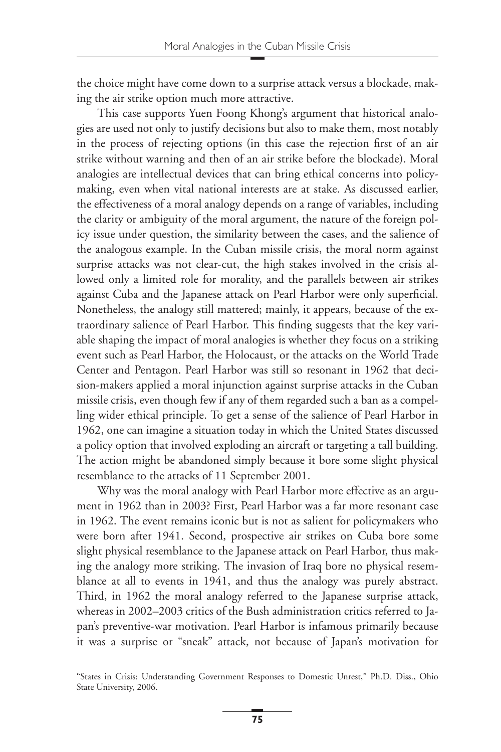the choice might have come down to a surprise attack versus a blockade, making the air strike option much more attractive.

This case supports Yuen Foong Khong's argument that historical analogies are used not only to justify decisions but also to make them, most notably in the process of rejecting options (in this case the rejection first of an air strike without warning and then of an air strike before the blockade). Moral analogies are intellectual devices that can bring ethical concerns into policymaking, even when vital national interests are at stake. As discussed earlier, the effectiveness of a moral analogy depends on a range of variables, including the clarity or ambiguity of the moral argument, the nature of the foreign policy issue under question, the similarity between the cases, and the salience of the analogous example. In the Cuban missile crisis, the moral norm against surprise attacks was not clear-cut, the high stakes involved in the crisis allowed only a limited role for morality, and the parallels between air strikes against Cuba and the Japanese attack on Pearl Harbor were only superficial. Nonetheless, the analogy still mattered; mainly, it appears, because of the extraordinary salience of Pearl Harbor. This finding suggests that the key variable shaping the impact of moral analogies is whether they focus on a striking event such as Pearl Harbor, the Holocaust, or the attacks on the World Trade Center and Pentagon. Pearl Harbor was still so resonant in 1962 that decision-makers applied a moral injunction against surprise attacks in the Cuban missile crisis, even though few if any of them regarded such a ban as a compelling wider ethical principle. To get a sense of the salience of Pearl Harbor in 1962, one can imagine a situation today in which the United States discussed a policy option that involved exploding an aircraft or targeting a tall building. The action might be abandoned simply because it bore some slight physical resemblance to the attacks of 11 September 2001.

Why was the moral analogy with Pearl Harbor more effective as an argument in 1962 than in 2003? First, Pearl Harbor was a far more resonant case in 1962. The event remains iconic but is not as salient for policymakers who were born after 1941. Second, prospective air strikes on Cuba bore some slight physical resemblance to the Japanese attack on Pearl Harbor, thus making the analogy more striking. The invasion of Iraq bore no physical resemblance at all to events in 1941, and thus the analogy was purely abstract. Third, in 1962 the moral analogy referred to the Japanese surprise attack, whereas in 2002–2003 critics of the Bush administration critics referred to Japan's preventive-war motivation. Pearl Harbor is infamous primarily because it was a surprise or "sneak" attack, not because of Japan's motivation for

<sup>&</sup>quot;States in Crisis: Understanding Government Responses to Domestic Unrest," Ph.D. Diss., Ohio State University, 2006.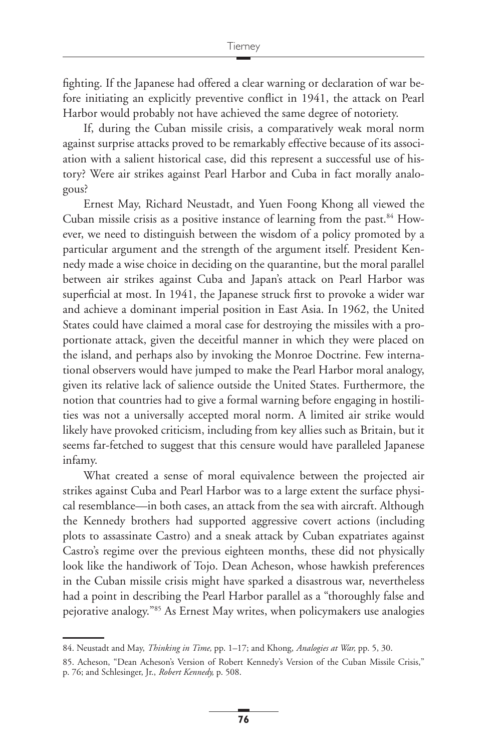fighting. If the Japanese had offered a clear warning or declaration of war before initiating an explicitly preventive conflict in 1941, the attack on Pearl Harbor would probably not have achieved the same degree of notoriety.

If, during the Cuban missile crisis, a comparatively weak moral norm against surprise attacks proved to be remarkably effective because of its association with a salient historical case, did this represent a successful use of history? Were air strikes against Pearl Harbor and Cuba in fact morally analogous?

Ernest May, Richard Neustadt, and Yuen Foong Khong all viewed the Cuban missile crisis as a positive instance of learning from the past.<sup>84</sup> However, we need to distinguish between the wisdom of a policy promoted by a particular argument and the strength of the argument itself. President Kennedy made a wise choice in deciding on the quarantine, but the moral parallel between air strikes against Cuba and Japan's attack on Pearl Harbor was superficial at most. In 1941, the Japanese struck first to provoke a wider war and achieve a dominant imperial position in East Asia. In 1962, the United States could have claimed a moral case for destroying the missiles with a proportionate attack, given the deceitful manner in which they were placed on the island, and perhaps also by invoking the Monroe Doctrine. Few international observers would have jumped to make the Pearl Harbor moral analogy, given its relative lack of salience outside the United States. Furthermore, the notion that countries had to give a formal warning before engaging in hostilities was not a universally accepted moral norm. A limited air strike would likely have provoked criticism, including from key allies such as Britain, but it seems far-fetched to suggest that this censure would have paralleled Japanese infamy.

What created a sense of moral equivalence between the projected air strikes against Cuba and Pearl Harbor was to a large extent the surface physical resemblance—in both cases, an attack from the sea with aircraft. Although the Kennedy brothers had supported aggressive covert actions (including plots to assassinate Castro) and a sneak attack by Cuban expatriates against Castro's regime over the previous eighteen months, these did not physically look like the handiwork of Tojo. Dean Acheson, whose hawkish preferences in the Cuban missile crisis might have sparked a disastrous war, nevertheless had a point in describing the Pearl Harbor parallel as a "thoroughly false and pejorative analogy."85 As Ernest May writes, when policymakers use analogies

<sup>84.</sup> Neustadt and May, *Thinking in Time,* pp. 1–17; and Khong, *Analogies at War,* pp. 5, 30.

<sup>85.</sup> Acheson, "Dean Acheson's Version of Robert Kennedy's Version of the Cuban Missile Crisis," p. 76; and Schlesinger, Jr., *Robert Kennedy,* p. 508.